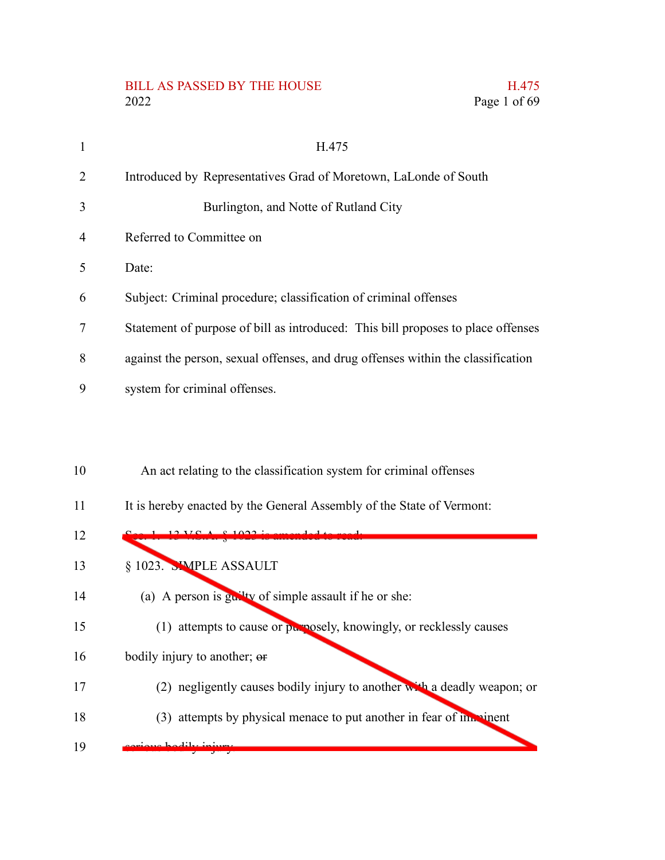# BILL AS PASSED BY THE HOUSE H.475<br>2022 Page 1 of 69

Page 1 of 69

| 1              | H.475                                                                                                                                       |
|----------------|---------------------------------------------------------------------------------------------------------------------------------------------|
| 2              | Introduced by Representatives Grad of Moretown, LaLonde of South                                                                            |
| 3              | Burlington, and Notte of Rutland City                                                                                                       |
| $\overline{4}$ | Referred to Committee on                                                                                                                    |
| 5              | Date:                                                                                                                                       |
| 6              | Subject: Criminal procedure; classification of criminal offenses                                                                            |
| 7              | Statement of purpose of bill as introduced: This bill proposes to place offenses                                                            |
| 8              | against the person, sexual offenses, and drug offenses within the classification                                                            |
| 9              | system for criminal offenses.                                                                                                               |
| 10<br>11       | An act relating to the classification system for criminal offenses<br>It is hereby enacted by the General Assembly of the State of Vermont: |
| 12             | $12 \text{ VCA}$                                                                                                                            |
| 13             | § 1023. SIMPLE ASSAULT                                                                                                                      |
| 14             | (a) A person is $g_{\mathbf{u}}$ tv of simple assault if he or she:                                                                         |
| 15             | (1) attempts to cause or purposely, knowingly, or recklessly causes                                                                         |
| 16             | bodily injury to another; or                                                                                                                |
| 17             | (2) negligently causes bodily injury to another with a deadly weapon; or                                                                    |
| 18             | (3) attempts by physical menace to put another in fear of imminent                                                                          |
| 19             |                                                                                                                                             |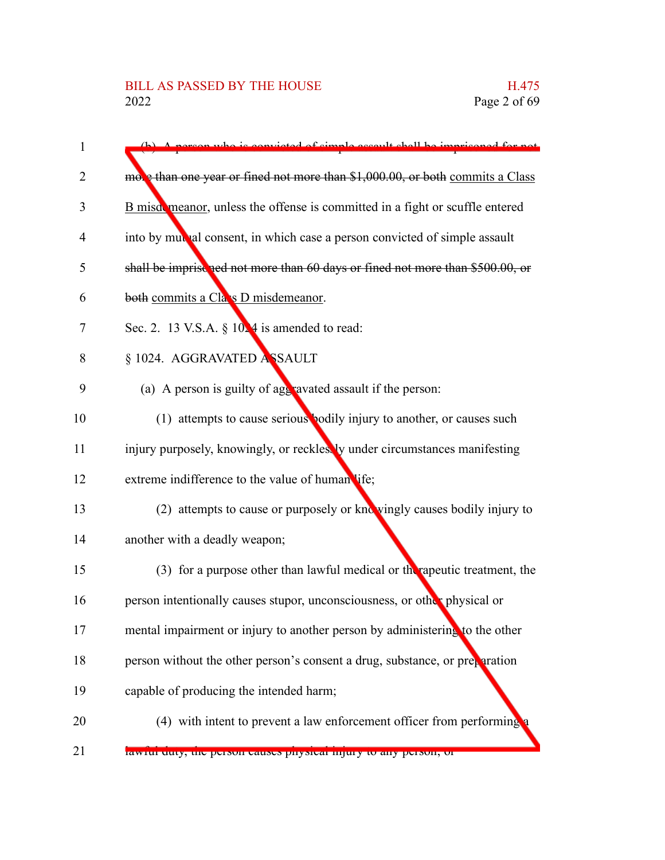| $\mathbf{1}$ | A person who is convicted of simple assault shall be imprisoned for not        |
|--------------|--------------------------------------------------------------------------------|
| 2            | mobe than one year or fined not more than \$1,000.00, or both commits a Class  |
| 3            | B misdomeanor, unless the offense is committed in a fight or scuffle entered   |
|              |                                                                                |
| 4            | into by mulha consent, in which case a person convicted of simple assault      |
| 5            | shall be imprise ned not more than 60 days or fined not more than \$500.00, or |
| 6            | both commits a Cla s D misdemeanor.                                            |
| 7            | Sec. 2. 13 V.S.A. $\S$ 10.4 is amended to read:                                |
| 8            | § 1024. AGGRAVATED ASSAULT                                                     |
| 9            | (a) A person is guilty of age ravated assault if the person:                   |
| 10           | (1) attempts to cause serious bodily injury to another, or causes such         |
| 11           | injury purposely, knowingly, or recklessly under circumstances manifesting     |
| 12           | extreme indifference to the value of human life;                               |
| 13           | (2) attempts to cause or purposely or knowingly causes bodily injury to        |
| 14           | another with a deadly weapon;                                                  |
| 15           | (3) for a purpose other than lawful medical or the rapeutic treatment, the     |
| 16           | person intentionally causes stupor, unconsciousness, or other physical or      |
| 17           | mental impairment or injury to another person by administering to the other    |
| 18           | person without the other person's consent a drug, substance, or preparation    |
| 19           | capable of producing the intended harm;                                        |
| 20           | (4) with intent to prevent a law enforcement officer from performing           |
| 21           | rawitul duty, the person causes physical injury to any person, or              |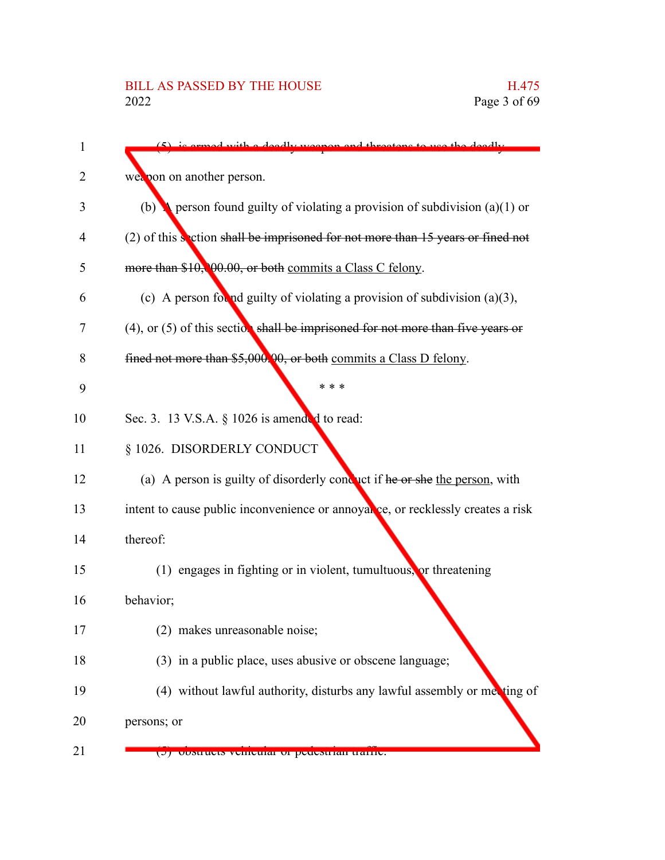| 1  | is armed with a deadly weapon and threatens to use the deadly                        |
|----|--------------------------------------------------------------------------------------|
| 2  | weapon on another person.                                                            |
| 3  | (b) refersion found guilty of violating a provision of subdivision (a)(1) or         |
| 4  | $(2)$ of this section shall be imprisoned for not more than 15 years or fined not    |
| 5  | more than \$10,000.00, or both commits a Class C felony.                             |
| 6  | (c) A person for ad guilty of violating a provision of subdivision $(a)(3)$ ,        |
| 7  | $(4)$ , or $(5)$ of this section shall be imprisoned for not more than five years or |
| 8  | fined not more than \$5,000.00, or both commits a Class D felony.                    |
| 9  | * * *                                                                                |
| 10 | Sec. 3. 13 V.S.A. § 1026 is amended to read:                                         |
| 11 | § 1026. DISORDERLY CONDUCT                                                           |
| 12 | (a) A person is guilty of disorderly conduct if he or she the person, with           |
| 13 | intent to cause public inconvenience or annoyal ce, or recklessly creates a risk     |
| 14 | thereof:                                                                             |
| 15 | $(1)$ engages in fighting or in violent, tumultuous, or threatening                  |
| 16 | behavior;                                                                            |
| 17 | (2) makes unreasonable noise;                                                        |
| 18 | (3) in a public place, uses abusive or obscene language;                             |
| 19 | (4) without lawful authority, disturbs any lawful assembly or met ting of            |
| 20 | persons; or                                                                          |
| 21 | (J) obstructs venicular or peuestrian traine.                                        |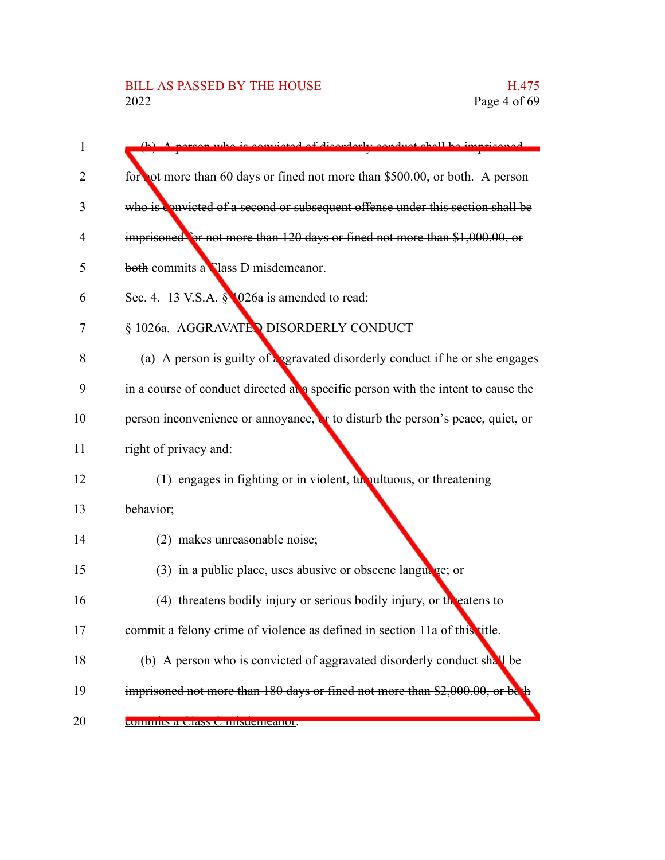# BILL AS PASSED BY THE HOUSE H.475<br>2022 Page 4 of 69

| 1  | is convicted of disorderly conduct shall be imprisoned                            |
|----|-----------------------------------------------------------------------------------|
| 2  | for ot more than 60 days or fined not more than \$500.00, or both. A person       |
| 3  | who is convicted of a second or subsequent offense under this section shall be    |
| 4  | imprisoned for not more than 120 days or fined not more than \$1,000.00, or       |
| 5  | both commits a Class D misdemeanor.                                               |
| 6  | Sec. 4. 13 V.S.A. § 026a is amended to read:                                      |
| 7  | § 1026a. AGGRAVATED DISORDERLY CONDUCT                                            |
| 8  | (a) A person is guilty of a gravated disorderly conduct if he or she engages      |
| 9  | in a course of conduct directed at a specific person with the intent to cause the |
| 10 | person inconvenience or annoyance, or to disturb the person's peace, quiet, or    |
| 11 | right of privacy and:                                                             |
| 12 | (1) engages in fighting or in violent, turnultuous, or threatening                |
| 13 | behavior;                                                                         |
| 14 | (2) makes unreasonable noise;                                                     |
| 15 | $(3)$ in a public place, uses abusive or obscene language; or                     |
| 16 | (4) threatens bodily injury or serious bodily injury, or the eatens to            |
| 17 | commit a felony crime of violence as defined in section 11a of this title.        |
| 18 | (b) A person who is convicted of aggravated disorderly conduct shall be           |
| 19 | imprisoned not more than 180 days or fined not more than \$2,000.00, or be the    |
| 20 | commus a Class C imsuemeanor.                                                     |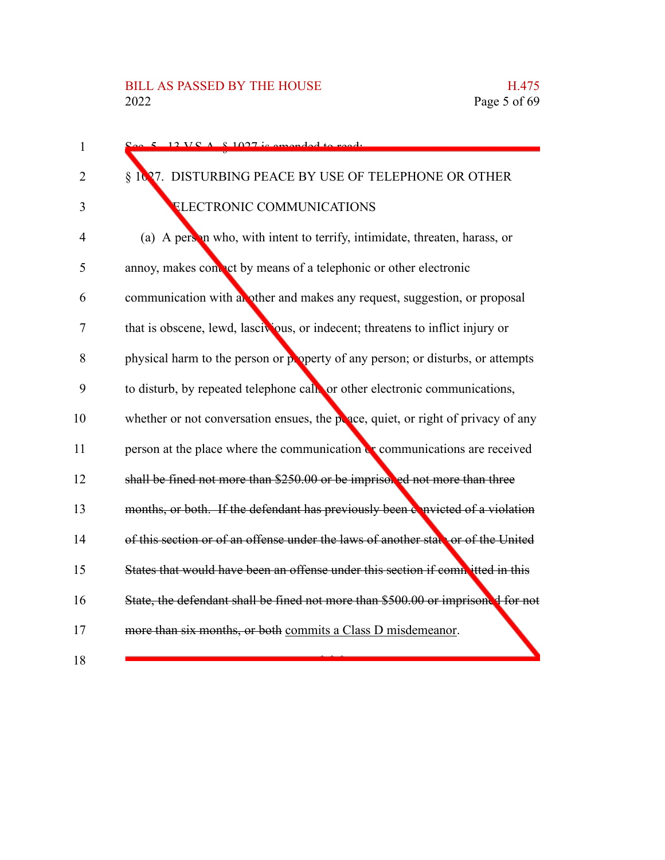| 1  | $5.12$ VC $\land$ 8.1027 is amonded to read.                                      |
|----|-----------------------------------------------------------------------------------|
| 2  | § 1027. DISTURBING PEACE BY USE OF TELEPHONE OR OTHER                             |
| 3  | <b>ELECTRONIC COMMUNICATIONS</b>                                                  |
| 4  | (a) A person who, with intent to terrify, intimidate, threaten, harass, or        |
| 5  | annoy, makes contact by means of a telephonic or other electronic                 |
| 6  | communication with an other and makes any request, suggestion, or proposal        |
| 7  | that is obscene, lewd, lascivious, or indecent; threatens to inflict injury or    |
| 8  | physical harm to the person or ploperty of any person; or disturbs, or attempts   |
| 9  | to disturb, by repeated telephone call or other electronic communications,        |
| 10 | whether or not conversation ensues, the peace, quiet, or right of privacy of any  |
| 11 | person at the place where the communication or communications are received        |
| 12 | shall be fined not more than \$250.00 or be imprisoned not more than three        |
| 13 | months, or both. If the defendant has previously been a nvicted of a violation    |
| 14 | of this section or of an offense under the laws of another state or of the United |
| 15 | States that would have been an offense under this section if committed in this    |
| 16 | State, the defendant shall be fined not more than \$500.00 or imprisoned for not  |
| 17 | more than six months, or both commits a Class D misdemeanor.                      |
| 18 |                                                                                   |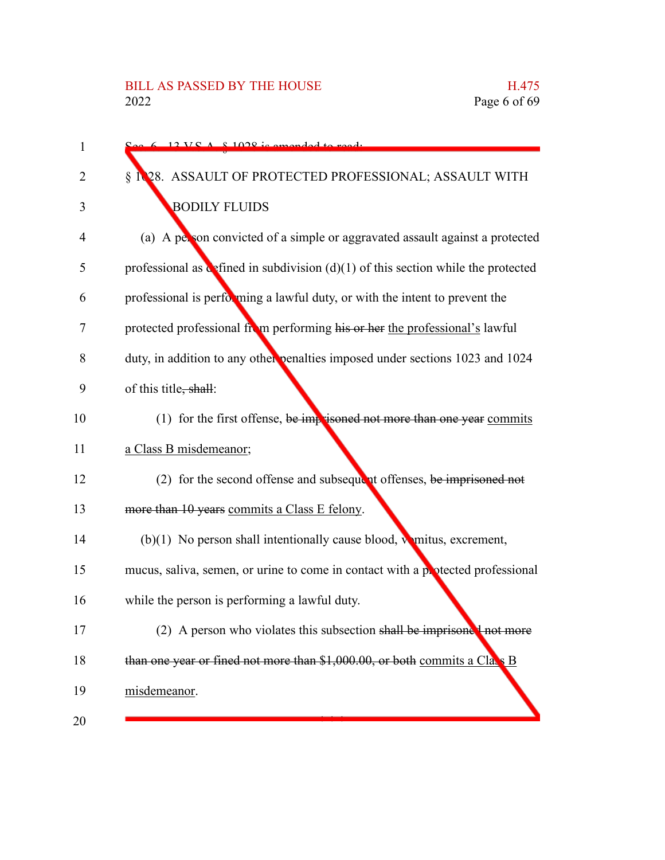| 1  | $6.12 \text{ V}gA - 8.1028$ is amended to read.                                     |
|----|-------------------------------------------------------------------------------------|
| 2  | 28. ASSAULT OF PROTECTED PROFESSIONAL; ASSAULT WITH<br>§                            |
| 3  | <b>BODILY FLUIDS</b>                                                                |
| 4  | (a) A person convicted of a simple or aggravated assault against a protected        |
| 5  | professional as defined in subdivision $(d)(1)$ of this section while the protected |
| 6  | professional is performing a lawful duty, or with the intent to prevent the         |
| 7  | protected professional from performing his or her the professional's lawful         |
| 8  | duty, in addition to any other penalties imposed under sections 1023 and 1024       |
| 9  | of this title, shall:                                                               |
| 10 | (1) for the first offense, be imprisoned not more than one year commits             |
| 11 | a Class B misdemeanor;                                                              |
| 12 | $(2)$ for the second offense and subsequent offenses, be imprisoned not             |
| 13 | more than 10 years commits a Class E felony.                                        |
| 14 | (b)(1) No person shall intentionally cause blood, winitus, excrement,               |
| 15 | mucus, saliva, semen, or urine to come in contact with a potected professional      |
| 16 | while the person is performing a lawful duty.                                       |
| 17 | (2) A person who violates this subsection shall be imprisoned not more              |
| 18 | than one year or fined not more than \$1,000.00, or both commits a Class B          |
| 19 | misdemeanor.                                                                        |
| 20 |                                                                                     |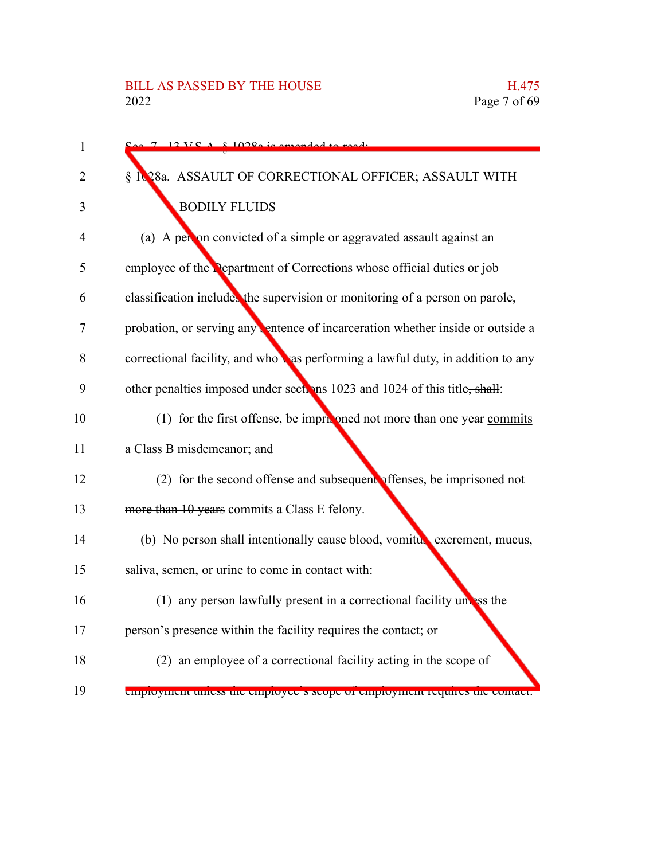| 1              | $12 \text{ V} \text{C}$ $\Lambda$ $\text{R}$ 10280 is amonded                  |
|----------------|--------------------------------------------------------------------------------|
| 2              | § 1028a. ASSAULT OF CORRECTIONAL OFFICER; ASSAULT WITH                         |
| 3              | <b>BODILY FLUIDS</b>                                                           |
| $\overline{4}$ | (a) A per on convicted of a simple or aggravated assault against an            |
| 5              | employee of the <b>Department</b> of Corrections whose official duties or job  |
| 6              | classification includes the supervision or monitoring of a person on parole,   |
| 7              | probation, or serving any entence of incarceration whether inside or outside a |
| 8              | correctional facility, and whowas performing a lawful duty, in addition to any |
| 9              | other penalties imposed under sections 1023 and 1024 of this title, shall:     |
| 10             | (1) for the first offense, be imprising the more than one year commits         |
| 11             | a Class B misdemeanor; and                                                     |
| 12             | $(2)$ for the second offense and subsequent offenses, be imprisoned not        |
| 13             | more than 10 years commits a Class E felony.                                   |
| 14             | (b) No person shall intentionally cause blood, vomiture excrement, mucus,      |
| 15             | saliva, semen, or urine to come in contact with:                               |
| 16             | (1) any person lawfully present in a correctional facility unless the          |
| 17             | person's presence within the facility requires the contact; or                 |
| 18             | (2) an employee of a correctional facility acting in the scope of              |
| 19             | emproyment unless the emproyee's scope of emproyment requires the comact.      |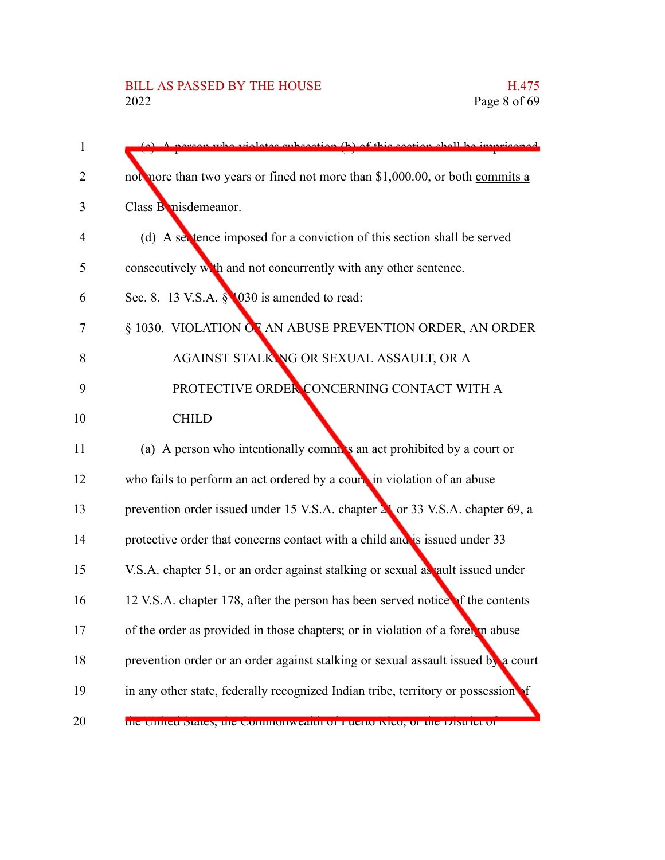| 1  | percenture violetes subsection (b) of this section shall be imprisoned            |
|----|-----------------------------------------------------------------------------------|
| 2  | not nore than two years or fined not more than \$1,000.00, or both commits a      |
| 3  | Class B misdemeanor.                                                              |
| 4  | (d) A section shall be served for a conviction of this section shall be served    |
| 5  | consecutively with and not concurrently with any other sentence.                  |
| 6  | Sec. 8. 13 V.S.A. § 030 is amended to read:                                       |
| 7  | § 1030. VIOLATION OF AN ABUSE PREVENTION ORDER, AN ORDER                          |
| 8  | AGAINST STALK NG OR SEXUAL ASSAULT, OR A                                          |
| 9  | PROTECTIVE ORDER CONCERNING CONTACT WITH A                                        |
| 10 | <b>CHILD</b>                                                                      |
| 11 | (a) A person who intentionally comm's an act prohibited by a court or             |
| 12 | who fails to perform an act ordered by a court, in violation of an abuse          |
| 13 | prevention order issued under 15 V.S.A. chapter 21 or 33 V.S.A. chapter 69, a     |
| 14 | protective order that concerns contact with a child and is issued under 33        |
| 15 | V.S.A. chapter 51, or an order against stalking or sexual as ault issued under    |
| 16 | 12 V.S.A. chapter 178, after the person has been served notice of the contents    |
| 17 | of the order as provided in those chapters; or in violation of a foreither abuse  |
| 18 | prevention order or an order against stalking or sexual assault issued by a court |
| 19 | in any other state, federally recognized Indian tribe, territory or possession    |
| 20 | the United States, the Commonwealth of Fuerto Kico, of the District of            |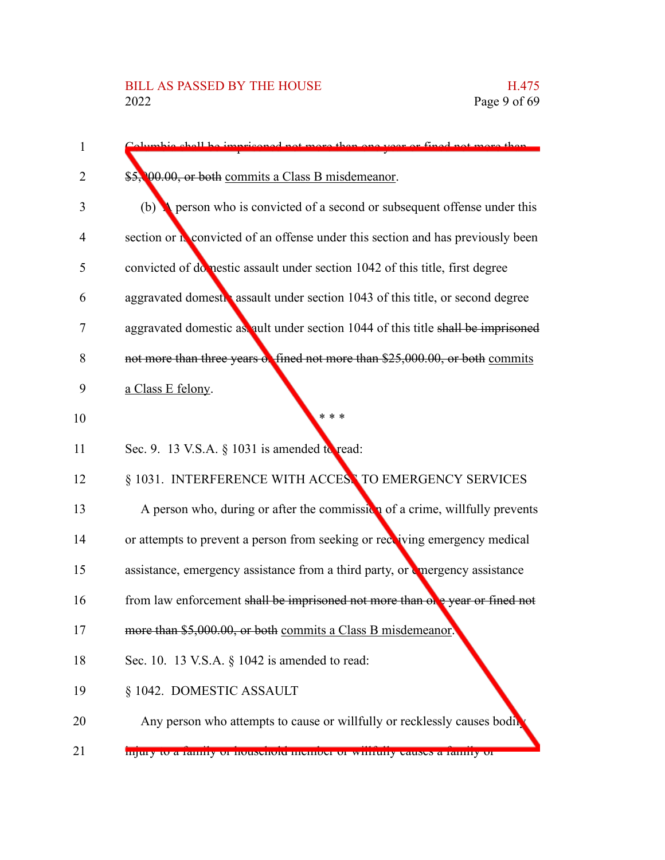| $\mathbf{1}$ | elymbic shell be imprisoned not more than one year or fined not more than              |
|--------------|----------------------------------------------------------------------------------------|
| 2            | \$5,000.00, or both commits a Class B misdemeanor.                                     |
| 3            | (b) <b>A</b> person who is convicted of a second or subsequent offense under this      |
| 4            | section or <b>N</b> convicted of an offense under this section and has previously been |
| 5            | convicted of domestic assault under section 1042 of this title, first degree           |
| 6            | aggravated domestre assault under section 1043 of this title, or second degree         |
| 7            | aggravated domestic as ault under section 1044 of this title shall be imprisoned       |
| 8            | not more than three years of fined not more than \$25,000.00, or both commits          |
| 9            | a Class E felony.                                                                      |
| 10           | $* * *$                                                                                |
| 11           | Sec. 9. 13 V.S.A. § 1031 is amended to read:                                           |
| 12           | § 1031. INTERFERENCE WITH ACCESS TO EMERGENCY SERVICES                                 |
| 13           | A person who, during or after the commission of a crime, willfully prevents            |
| 14           | or attempts to prevent a person from seeking or recoving emergency medical             |
| 15           | assistance, emergency assistance from a third party, or emergency assistance           |
| 16           | from law enforcement shall be imprisoned not more than one year or fined not           |
| 17           | more than \$5,000.00, or both commits a Class B misdemeanor.                           |
| 18           | Sec. 10. 13 V.S.A. $\S$ 1042 is amended to read:                                       |
| 19           | § 1042. DOMESTIC ASSAULT                                                               |
| 20           | Any person who attempts to cause or willfully or recklessly causes bodin               |
| 21           | mqury to a rammy or nouschord member or winnuny causes a rammy or                      |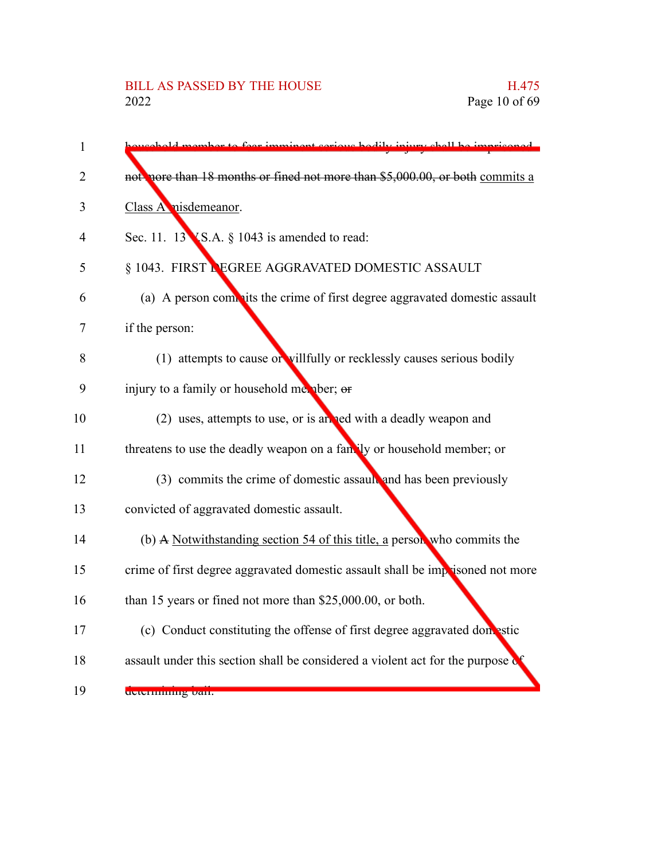| $\mathbf{1}$ | r to foor imminant cori<br>re hodily injum                                      |
|--------------|---------------------------------------------------------------------------------|
| 2            | not nore than 18 months or fined not more than \$5,000.00, or both commits a    |
| 3            | Class A nisdemeanor.                                                            |
| 4            | Sec. 11. $13$ KS.A. § 1043 is amended to read:                                  |
| 5            | § 1043. FIRST LEGREE AGGRAVATED DOMESTIC ASSAULT                                |
| 6            | (a) A person commits the crime of first degree aggravated domestic assault      |
| 7            | if the person:                                                                  |
| 8            | (1) attempts to cause or villfully or recklessly causes serious bodily          |
| 9            | injury to a family or household member; or                                      |
| 10           | (2) uses, attempts to use, or is an red with a deadly weapon and                |
| 11           | threatens to use the deadly weapon on a fan. ly or household member; or         |
| 12           | (3) commits the crime of domestic assault and has been previously               |
| 13           | convicted of aggravated domestic assault.                                       |
| 14           | (b) A Notwithstanding section 54 of this title, a person who commits the        |
| 15           | crime of first degree aggravated domestic assault shall be imprisoned not more  |
| 16           | than 15 years or fined not more than \$25,000.00, or both.                      |
| 17           | (c) Conduct constituting the offense of first degree aggravated domestic        |
| 18           | assault under this section shall be considered a violent act for the purpose of |
| 19           | determining ban.                                                                |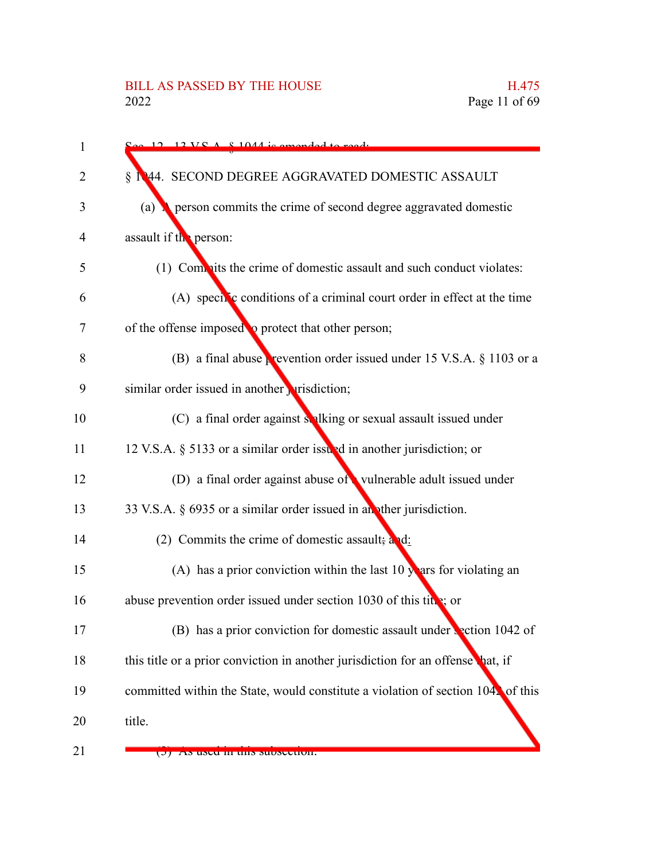| 1  | $\sim$ 12 12 VC A $\&$ 1044 is amonded to ready                                         |
|----|-----------------------------------------------------------------------------------------|
| 2  | § 1944. SECOND DEGREE AGGRAVATED DOMESTIC ASSAULT                                       |
| 3  | person commits the crime of second degree aggravated domestic<br>(a)                    |
| 4  | assault if the person:                                                                  |
| 5  | (1) Commits the crime of domestic assault and such conduct violates:                    |
| 6  | (A) specific conditions of a criminal court order in effect at the time                 |
| 7  | of the offense imposed to protect that other person;                                    |
| 8  | (B) a final abuse <b>prevention order issued under 15 V.S.A.</b> $\S$ 1103 or a         |
| 9  | similar order issued in another prisdiction;                                            |
| 10 | (C) a final order against stalking or sexual assault issued under                       |
| 11 | 12 V.S.A. § 5133 or a similar order issued in another jurisdiction; or                  |
| 12 | (D) a final order against abuse of vulnerable adult issued under                        |
| 13 | 33 V.S.A. § 6935 or a similar order issued in an other jurisdiction.                    |
| 14 | (2) Commits the crime of domestic assault; $a_1d_2$                                     |
| 15 | (A) has a prior conviction within the last 10 $\sqrt{\phantom{a}}$ ars for violating an |
| 16 | abuse prevention order issued under section 1030 of this title; or                      |
| 17 | (B) has a prior conviction for domestic assault under section 1042 of                   |
| 18 | this title or a prior conviction in another jurisdiction for an offense hat, if         |
| 19 | committed within the State, would constitute a violation of section 1042 of this        |
| 20 | title.                                                                                  |
| 21 | (J) As used in this subsection.                                                         |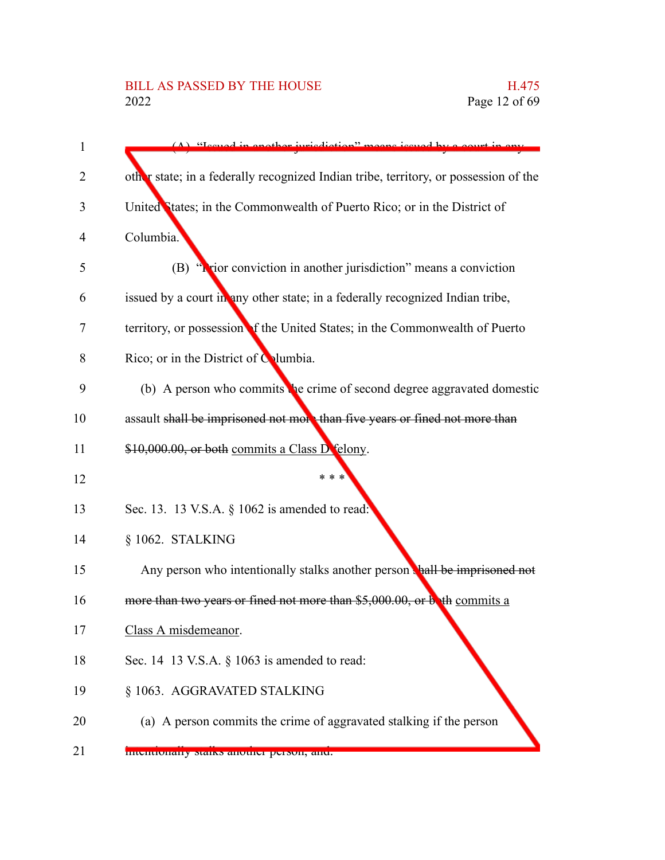# BILL AS PASSED BY THE HOUSE H.475<br>2022 Page 12 of 69

| $\mathbf{1}$ | $(\Lambda)$ Tecupd in another invigibition"<br>concreased by a court in ony          |
|--------------|--------------------------------------------------------------------------------------|
| 2            | other state; in a federally recognized Indian tribe, territory, or possession of the |
| 3            | United States; in the Commonwealth of Puerto Rico; or in the District of             |
| 4            | Columbia.                                                                            |
| 5            | (B) "Notice conviction in another jurisdiction" means a conviction                   |
| 6            | issued by a court in any other state; in a federally recognized Indian tribe,        |
| 7            | territory, or possession of the United States; in the Commonwealth of Puerto         |
| 8            | Rico; or in the District of Columbia.                                                |
| 9            | (b) A person who commits the crime of second degree aggravated domestic              |
| 10           | assault shall be imprisoned not more than five years or fined not more than          |
| 11           | \$10,000.00, or both commits a Class D felony.                                       |
| 12           | * * *                                                                                |
| 13           | Sec. 13. 13 V.S.A. § 1062 is amended to read:                                        |
| 14           | § 1062. STALKING                                                                     |
| 15           | Any person who intentionally stalks another person thall be imprisoned not           |
| 16           | more than two years or fined not more than \$5,000.00, or buth commits a             |
| 17           | Class A misdemeanor.                                                                 |
| 18           | Sec. 14 13 V.S.A. $\S$ 1063 is amended to read:                                      |
| 19           | § 1063. AGGRAVATED STALKING                                                          |
| 20           | (a) A person commits the crime of aggravated stalking if the person                  |
| 21           | <b>Intentionally stans another person, and.</b>                                      |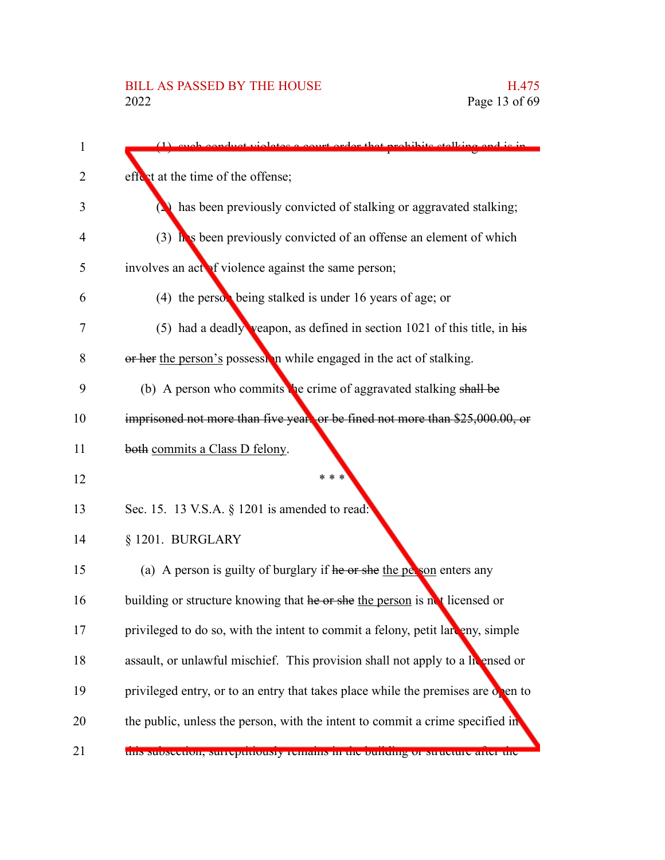| 1  | conduct violetes a court order that probibits stalking and is in                 |
|----|----------------------------------------------------------------------------------|
| 2  | effect at the time of the offense;                                               |
| 3  | $(2)$ has been previously convicted of stalking or aggravated stalking;          |
| 4  | $(3)$ has been previously convicted of an offense an element of which            |
| 5  | involves an actor of violence against the same person;                           |
| 6  | (4) the person being stalked is under 16 years of age; or                        |
| 7  | (5) had a deadly veapon, as defined in section $1021$ of this title, in his      |
| 8  | or her the person's possession while engaged in the act of stalking.             |
| 9  | (b) A person who commits the crime of aggravated stalking shall be               |
| 10 | imprisoned not more than five years or be fined not more than \$25,000.00, or    |
| 11 | both commits a Class D felony.                                                   |
| 12 | * * *                                                                            |
| 13 | Sec. 15. 13 V.S.A. § 1201 is amended to read:                                    |
| 14 | § 1201. BURGLARY                                                                 |
| 15 | (a) A person is guilty of burglary if he or she the person enters any            |
| 16 | building or structure knowing that he or she the person is not licensed or       |
| 17 | privileged to do so, with the intent to commit a felony, petit lareny, simple    |
| 18 | assault, or unlawful mischief. This provision shall not apply to a licensed or   |
| 19 | privileged entry, or to an entry that takes place while the premises are onen to |
| 20 | the public, unless the person, with the intent to commit a crime specified in    |
| 21 | uns subsection, surreptitiously remains in the bunding or structure after the    |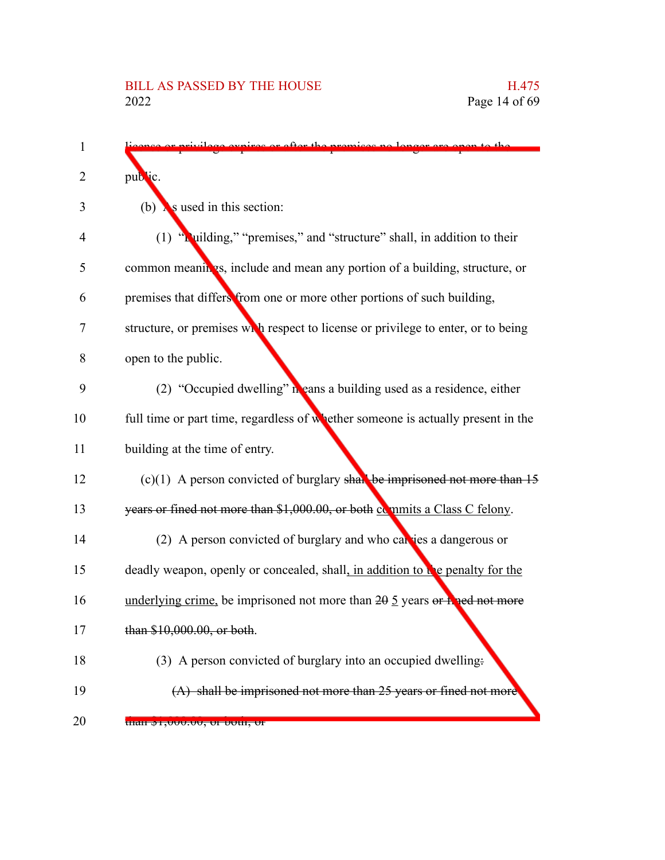| ires or ofter the premises no longer<br>$m_{\rm t}$ to the                                |
|-------------------------------------------------------------------------------------------|
| public.                                                                                   |
| is used in this section:<br>(b)                                                           |
| (1) "Ruilding," "premises," and "structure" shall, in addition to their                   |
| common meanings, include and mean any portion of a building, structure, or                |
| premises that differs from one or more other portions of such building,                   |
| structure, or premises while respect to license or privilege to enter, or to being        |
| open to the public.                                                                       |
| (2) "Occupied dwelling" in eans a building used as a residence, either                    |
| full time or part time, regardless of whether someone is actually present in the          |
| building at the time of entry.                                                            |
| $(c)(1)$ A person convicted of burglary shall be imprisoned not more than 15              |
| years or fined not more than \$1,000.00, or both commits a Class C felony.                |
| (2) A person convicted of burglary and who can jes a dangerous or                         |
| deadly weapon, openly or concealed, shall, in addition to be penalty for the              |
| underlying crime, be imprisoned not more than $20 \frac{5}{2}$ years or <b>F</b> and more |
| than \$10,000.00, or both.                                                                |
| (3) A person convicted of burglary into an occupied dwelling.                             |
| $(A)$ shall be imprisoned not more than 25 years or fined not more                        |
| <del>tnan \$1,000.00, or 00m, or</del>                                                    |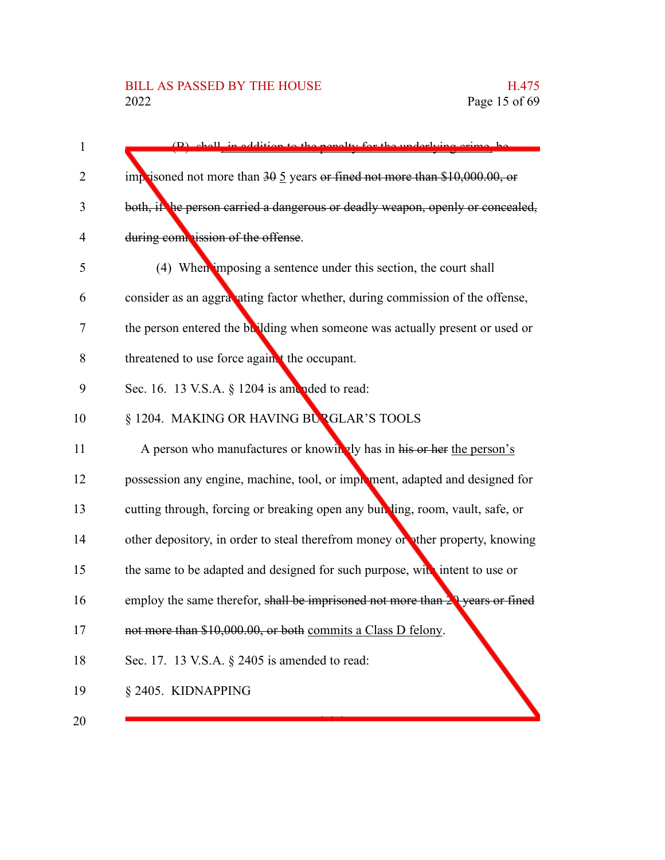| $\mathbf{1}$ | (B) shall in addition to the penalty for the underlying crime be                      |
|--------------|---------------------------------------------------------------------------------------|
| 2            | imprisoned not more than $30\frac{5}{9}$ years or fined not more than \$10,000.00, or |
| 3            | both, if he person carried a dangerous or deadly weapon, openly or concealed,         |
| 4            | during commission of the offense.                                                     |
| 5            | (4) When imposing a sentence under this section, the court shall                      |
| 6            | consider as an aggravating factor whether, during commission of the offense,          |
| 7            | the person entered the building when someone was actually present or used or          |
| 8            | threatened to use force again t the occupant.                                         |
| 9            | Sec. 16. 13 V.S.A. § 1204 is amended to read:                                         |
| 10           | § 1204. MAKING OR HAVING BURGLAR'S TOOLS                                              |
| 11           | A person who manufactures or knowingly has in his or her the person's                 |
| 12           | possession any engine, machine, tool, or improment, adapted and designed for          |
| 13           | cutting through, forcing or breaking open any building, room, vault, safe, or         |
| 14           | other depository, in order to steal therefrom money or other property, knowing        |
| 15           | the same to be adapted and designed for such purpose, with intent to use or           |
| 16           | employ the same therefor, shall be imprisoned not more than $29$ years or fined       |
| 17           | not more than \$10,000.00, or both commits a Class D felony.                          |
| 18           | Sec. 17. 13 V.S.A. § 2405 is amended to read:                                         |
| 19           | § 2405. KIDNAPPING                                                                    |
| 20           |                                                                                       |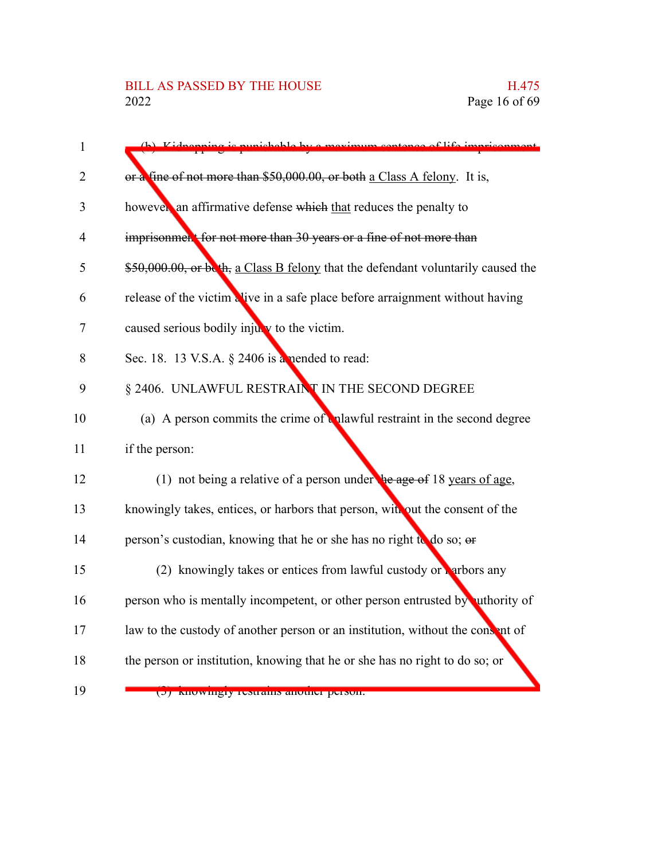| 1              | Kidnanning is nunishable by a m                                                   |
|----------------|-----------------------------------------------------------------------------------|
| $\overline{2}$ | or a fine of not more than \$50,000.00, or both a Class A felony. It is,          |
| 3              | however an affirmative defense which that reduces the penalty to                  |
| $\overline{4}$ | imprisonment for not more than 30 years or a fine of not more than                |
| 5              | \$50,000.00, or beth, a Class B felony that the defendant voluntarily caused the  |
| 6              | release of the victim alive in a safe place before arraignment without having     |
| 7              | caused serious bodily injury to the victim.                                       |
| 8              | Sec. 18. 13 V.S.A. § 2406 is a nended to read:                                    |
| 9              | § 2406. UNLAWFUL RESTRAINT IN THE SECOND DEGREE                                   |
| 10             | (a) A person commits the crime of <b>u</b> plawful restraint in the second degree |
| 11             | if the person:                                                                    |
| 12             | (1) not being a relative of a person under $\frac{1}{2}$ age of 18 years of age,  |
| 13             | knowingly takes, entices, or harbors that person, with out the consent of the     |
| 14             | person's custodian, knowing that he or she has no right to do so; or              |
| 15             | (2) knowingly takes or entices from lawful custody or $\frac{1}{2}$ arbors any    |
| 16             | person who is mentally incompetent, or other person entrusted by uthority of      |
| 17             | law to the custody of another person or an institution, without the consent of    |
| 18             | the person or institution, knowing that he or she has no right to do so; or       |
| 19             | (b) Knowingry restrains another person.                                           |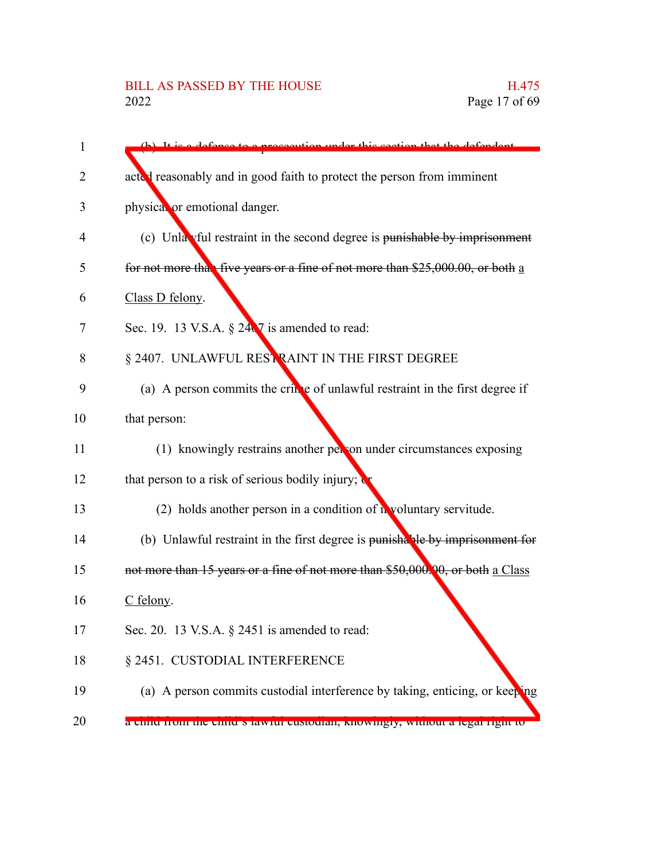# BILL AS PASSED BY THE HOUSE H.475<br>2022 Page 17 of 69

| 1  | $(h)$ It is a defense<br>dor this soction that the defendant                   |
|----|--------------------------------------------------------------------------------|
| 2  | acted reasonably and in good faith to protect the person from imminent         |
| 3  | physical or emotional danger.                                                  |
| 4  | (c) Unla vful restraint in the second degree is punishable by imprisonment     |
| 5  | for not more that five years or a fine of not more than \$25,000.00, or both a |
| 6  | Class D felony.                                                                |
| 7  | Sec. 19. 13 V.S.A. $\S 24\sqrt{7}$ is amended to read:                         |
| 8  | § 2407. UNLAWFUL RESTRAINT IN THE FIRST DEGREE                                 |
| 9  | (a) A person commits the crime of unlawful restraint in the first degree if    |
| 10 | that person:                                                                   |
| 11 | (1) knowingly restrains another per on under circumstances exposing            |
| 12 | that person to a risk of serious bodily injury; $\mathbf{C}$                   |
| 13 | (2) holds another person in a condition of $\mathbf{h}$ voluntary servitude.   |
| 14 | (b) Unlawful restraint in the first degree is punishable by imprisonment for   |
| 15 | not more than 15 years or a fine of not more than \$50,000.00, or both a Class |
| 16 | $C$ felony.                                                                    |
| 17 | Sec. 20. 13 V.S.A. $\S$ 2451 is amended to read:                               |
| 18 | § 2451. CUSTODIAL INTERFERENCE                                                 |
| 19 | (a) A person commits custodial interference by taking, enticing, or keeping    |
| 20 | a china from the china s fawfur custouran, Knowmgry, whilout a fegar fight to  |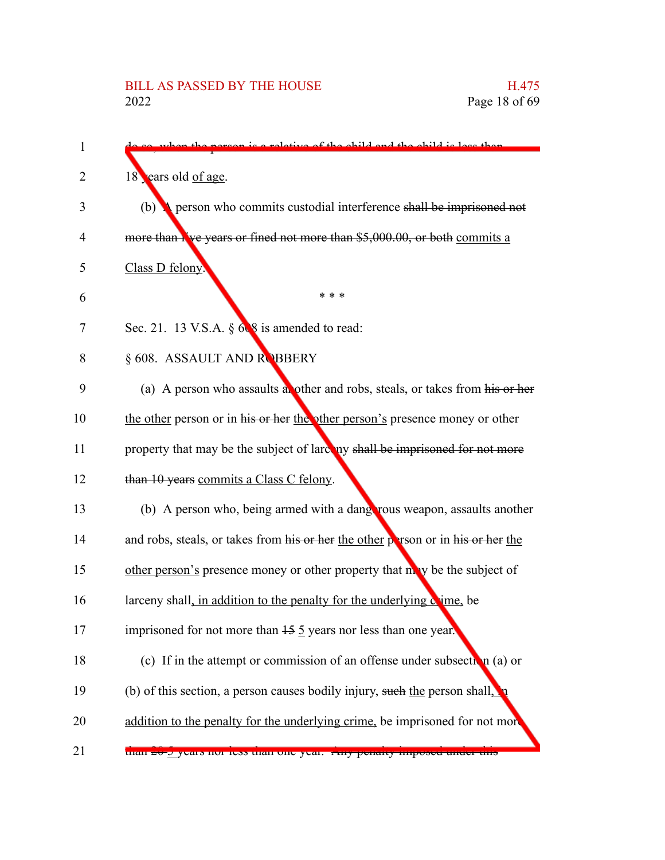| on is a relative of the child and the child is loss than                                |
|-----------------------------------------------------------------------------------------|
| 18 ears old of age.                                                                     |
| person who commits custodial interference shall be imprisoned not<br>(b)                |
| more than Nve years or fined not more than \$5,000.00, or both commits a                |
| Class D felony.                                                                         |
| * * *                                                                                   |
| Sec. 21. 13 V.S.A. $\S$ 6.8 is amended to read:                                         |
| § 608. ASSAULT AND ROBBERY                                                              |
| (a) A person who assaults abother and robs, steals, or takes from his or her            |
| the other person or in his or her the other person's presence money or other            |
| property that may be the subject of larceny shall be imprisoned for not more            |
| than 10 years commits a Class C felony.                                                 |
| (b) A person who, being armed with a dangerous weapon, assaults another                 |
| and robs, steals, or takes from his or her the other person or in his or her the        |
| other person's presence money or other property that may be the subject of              |
| larceny shall, in addition to the penalty for the underlying come, be                   |
| imprisoned for not more than $15 \overline{5}$ years nor less than one year.            |
| (c) If in the attempt or commission of an offense under subsection (a) or               |
| (b) of this section, a person causes bodily injury, such the person shall, $\mathbf{h}$ |
| addition to the penalty for the underlying crime, be imprisoned for not more            |
| than 20-9 years not less than one year. This penalty imposed under this                 |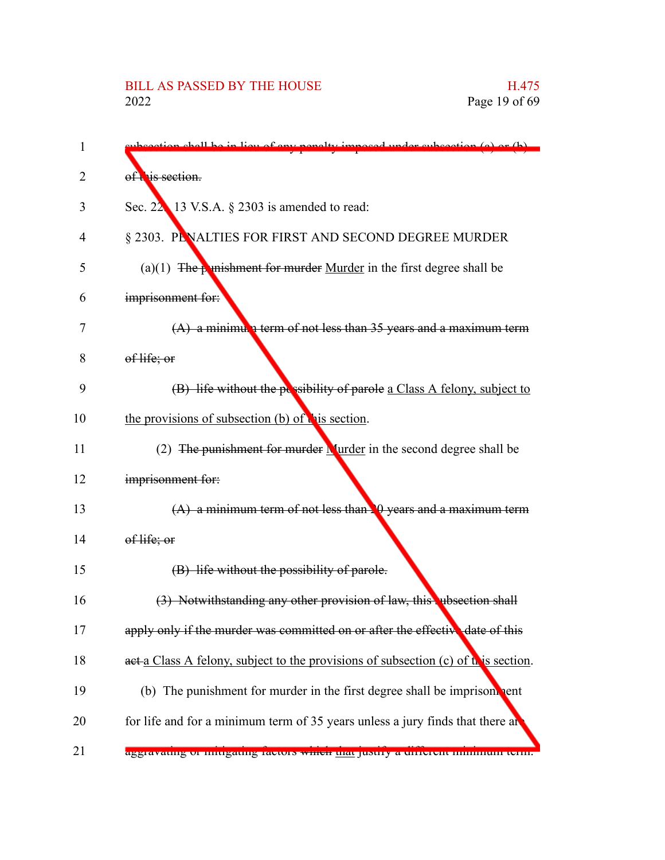| 1  | ubsection shell be in lieu of eny penelty imposed under subsection (a) or $(b)$    |
|----|------------------------------------------------------------------------------------|
| 2  | of this section.                                                                   |
| 3  | Sec. $22 \times 13$ V.S.A. $\S$ 2303 is amended to read:                           |
| 4  | § 2303. PENALTIES FOR FIRST AND SECOND DEGREE MURDER                               |
| 5  | (a)(1) The <b>punishment for murder</b> Murder in the first degree shall be        |
| 6  | imprisonment for:                                                                  |
| 7  | $(A)$ a minimula term of not less than 35 years and a maximum term                 |
| 8  | of life; or                                                                        |
| 9  | (B) life without the possibility of parole a Class A felony, subject to            |
| 10 | the provisions of subsection (b) of this section.                                  |
| 11 | (2) The punishment for murder $\frac{N}{2}$ urder in the second degree shall be    |
| 12 | imprisonment for:                                                                  |
| 13 | $(A)$ a minimum term of not less than $\Box$ years and a maximum term              |
| 14 | of life; or                                                                        |
| 15 | (B) life without the possibility of parole.                                        |
| 16 | (3) Notwithstanding any other provision of law, this ubsection shall               |
| 17 | apply only if the murder was committed on or after the effective date of this      |
| 18 | aet a Class A felony, subject to the provisions of subsection (c) of this section. |
| 19 | (b) The punishment for murder in the first degree shall be imprison pent           |
| 20 | for life and for a minimum term of 35 years unless a jury finds that there an      |
| 21 | aggravating of himgating factors which that justify a unferent minimum term.       |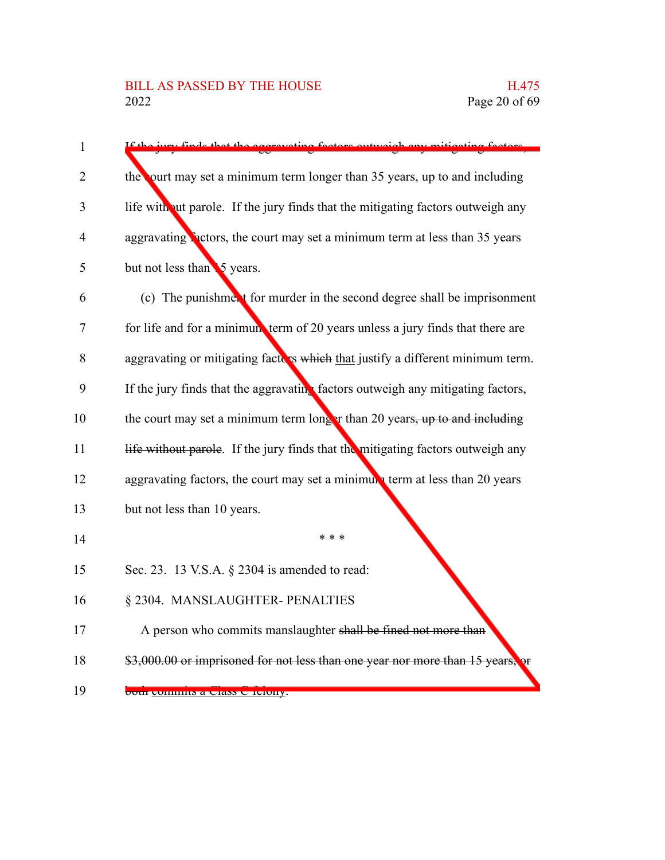| 1  |                                                                                 |
|----|---------------------------------------------------------------------------------|
| 2  | the ourt may set a minimum term longer than 35 years, up to and including       |
| 3  | life without parole. If the jury finds that the mitigating factors outweigh any |
| 4  | aggravating Pactors, the court may set a minimum term at less than 35 years     |
| 5  | but not less than 5 years.                                                      |
| 6  | (c) The punishment for murder in the second degree shall be imprisonment        |
| 7  | for life and for a minimum term of 20 years unless a jury finds that there are  |
| 8  | aggravating or mitigating factors which that justify a different minimum term.  |
| 9  | If the jury finds that the aggravating factors outweigh any mitigating factors, |
| 10 | the court may set a minimum term longer than 20 years, up to and including      |
| 11 | life without parole. If the jury finds that the mitigating factors outweigh any |
| 12 | aggravating factors, the court may set a minimum term at less than 20 years     |
| 13 | but not less than 10 years.                                                     |
| 14 | * * *                                                                           |
| 15 | Sec. 23. 13 V.S.A. § 2304 is amended to read:                                   |
| 16 | § 2304. MANSLAUGHTER- PENALTIES                                                 |
| 17 | A person who commits manslaughter shall be fined not more than                  |
| 18 | \$3,000.00 or imprisoned for not less than one year nor more than 15 years,     |
| 19 | <del>bour commus a Ciass C reiony.</del>                                        |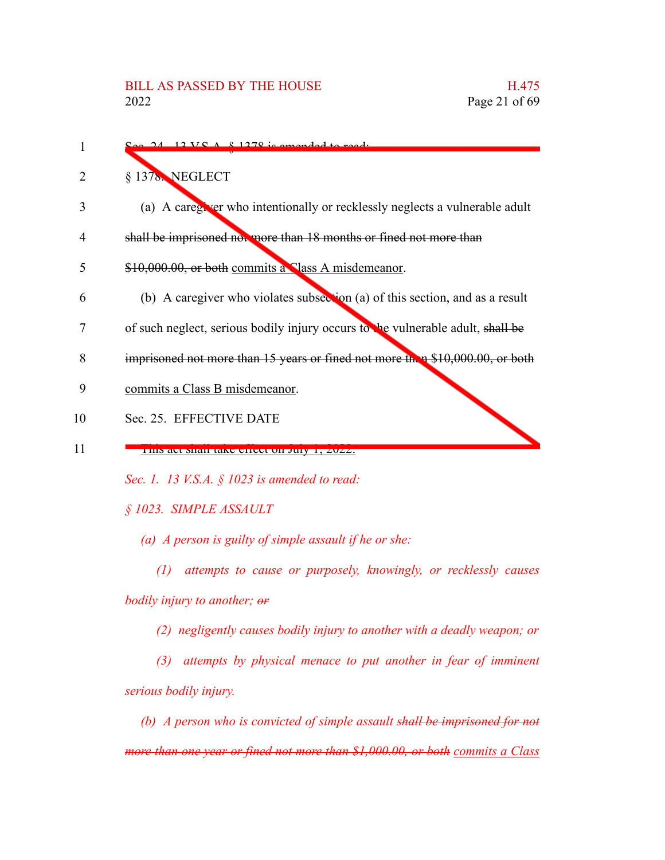$1270$  is amended to § 1378. NEGLECT (a) A caregiver who intentionally or recklessly neglects a vulnerable adult shall be imprisoned not more than 18 months or fined not more than \$10,000.00, or both commits a Class A misdemeanor. (b) A caregiver who violates subsection (a) of this section, and as a result of such neglect, serious bodily injury occurs to the vulnerable adult, shall be imprisoned not more than 15 years or fined not more than \$10,000.00, or both commits a Class B misdemeanor. Sec. 25. EFFECTIVE DATE This act shall take effect on July 1, 2022. *Sec. 1. 13 V.S.A. § 1023 is amended to read: § 1023. SIMPLE ASSAULT (a) A person is guilty of simple assault if he or she: (1) attempts to cause or purposely, knowingly, or recklessly causes bodily injury to another; or (2) negligently causes bodily injury to another with a deadly weapon; or (3) attempts by physical menace to put another in fear of imminent serious bodily injury. (b) A person who is convicted of simple assault shall be imprisoned for not* 1 2 3 4 5 6 7 8 9 10 11

*more than one year or fined not more than \$1,000.00, or both commits a Class*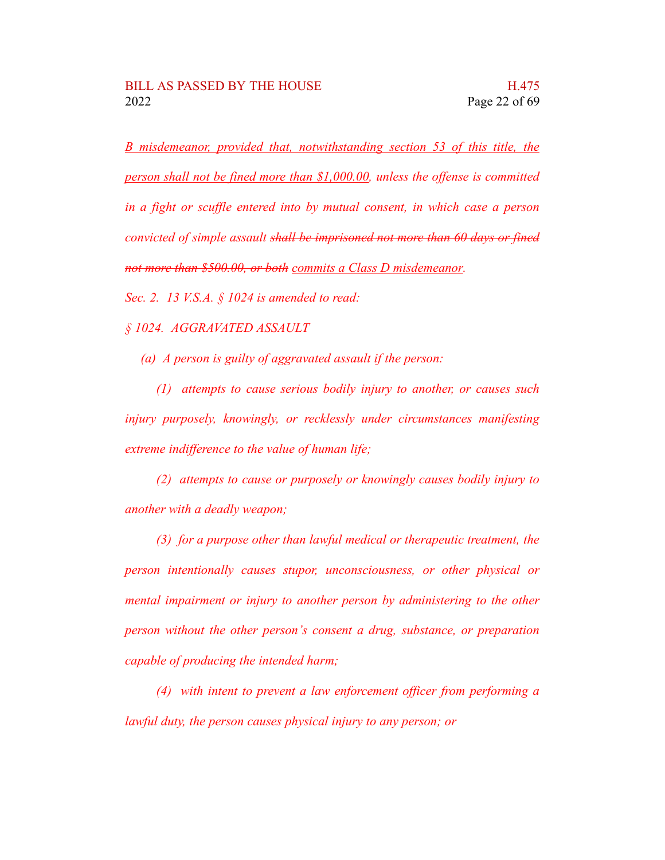*B misdemeanor, provided that, notwithstanding section 53 of this title, the person shall not be fined more than \$1,000.00, unless the offense is committed in a fight or scuffle entered into by mutual consent, in which case a person convicted of simple assault shall be imprisoned not more than 60 days or fined not more than \$500.00, or both commits a Class D misdemeanor.*

*Sec. 2. 13 V.S.A. § 1024 is amended to read:*

*§ 1024. AGGRAVATED ASSAULT*

*(a) A person is guilty of aggravated assault if the person:*

*(1) attempts to cause serious bodily injury to another, or causes such injury purposely, knowingly, or recklessly under circumstances manifesting extreme indifference to the value of human life;*

*(2) attempts to cause or purposely or knowingly causes bodily injury to another with a deadly weapon;*

*(3) for a purpose other than lawful medical or therapeutic treatment, the person intentionally causes stupor, unconsciousness, or other physical or mental impairment or injury to another person by administering to the other person without the other person's consent a drug, substance, or preparation capable of producing the intended harm;*

*(4) with intent to prevent a law enforcement officer from performing a lawful duty, the person causes physical injury to any person; or*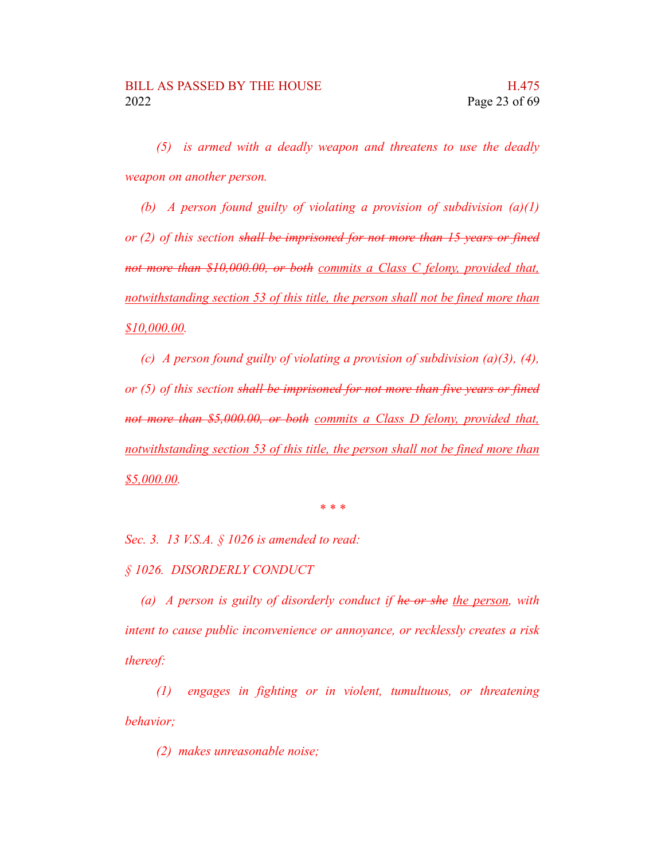*(5) is armed with a deadly weapon and threatens to use the deadly weapon on another person.*

*(b) A person found guilty of violating a provision of subdivision (a)(1) or (2) of this section shall be imprisoned for not more than 15 years or fined not more than \$10,000.00, or both commits a Class C felony, provided that, notwithstanding section 53 of this title, the person shall not be fined more than \$10,000.00.*

*(c) A person found guilty of violating a provision of subdivision (a)(3), (4), or (5) of this section shall be imprisoned for not more than five years or fined not more than \$5,000.00, or both commits a Class D felony, provided that, notwithstanding section 53 of this title, the person shall not be fined more than \$5,000.00.*

*\* \* \**

*Sec. 3. 13 V.S.A. § 1026 is amended to read:*

*§ 1026. DISORDERLY CONDUCT*

*(a) A person is guilty of disorderly conduct if he or she the person, with intent to cause public inconvenience or annoyance, or recklessly creates a risk thereof:*

*(1) engages in fighting or in violent, tumultuous, or threatening behavior;*

*(2) makes unreasonable noise;*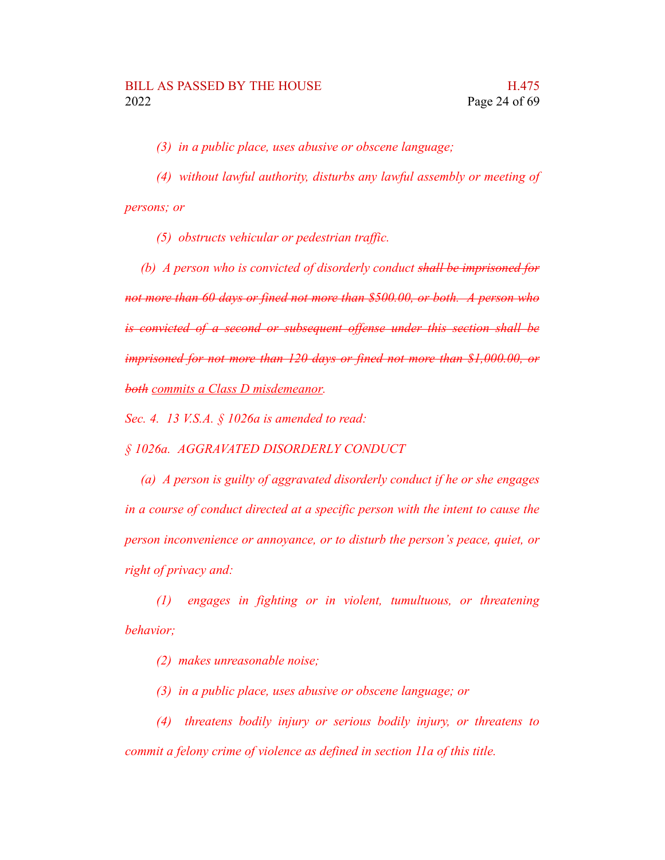*(3) in a public place, uses abusive or obscene language;*

*(4) without lawful authority, disturbs any lawful assembly or meeting of persons; or*

*(5) obstructs vehicular or pedestrian traffic.*

*(b) A person who is convicted of disorderly conduct shall be imprisoned for not more than 60 days or fined not more than \$500.00, or both. A person who is convicted of a second or subsequent offense under this section shall be imprisoned for not more than 120 days or fined not more than \$1,000.00, or both commits a Class D misdemeanor.*

*Sec. 4. 13 V.S.A. § 1026a is amended to read:*

*§ 1026a. AGGRAVATED DISORDERLY CONDUCT*

*(a) A person is guilty of aggravated disorderly conduct if he or she engages in a course of conduct directed at a specific person with the intent to cause the person inconvenience or annoyance, or to disturb the person's peace, quiet, or right of privacy and:*

*(1) engages in fighting or in violent, tumultuous, or threatening behavior;*

*(2) makes unreasonable noise;*

*(3) in a public place, uses abusive or obscene language; or*

*(4) threatens bodily injury or serious bodily injury, or threatens to commit a felony crime of violence as defined in section 11a of this title.*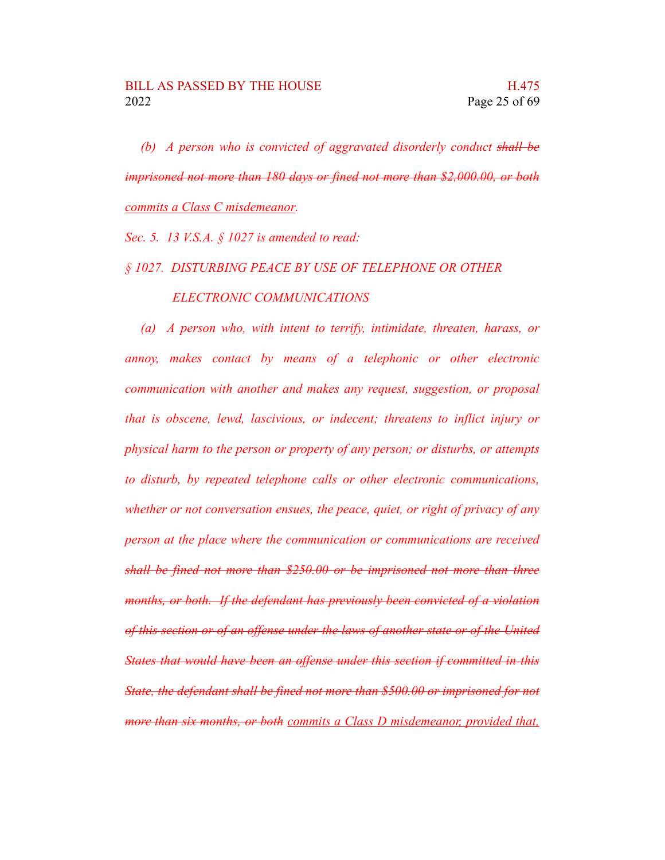*(b) A person who is convicted of aggravated disorderly conduct shall be imprisoned not more than 180 days or fined not more than \$2,000.00, or both commits a Class C misdemeanor.*

*Sec. 5. 13 V.S.A. § 1027 is amended to read:*

#### *§ 1027. DISTURBING PEACE BY USE OF TELEPHONE OR OTHER*

### *ELECTRONIC COMMUNICATIONS*

*(a) A person who, with intent to terrify, intimidate, threaten, harass, or annoy, makes contact by means of a telephonic or other electronic communication with another and makes any request, suggestion, or proposal that is obscene, lewd, lascivious, or indecent; threatens to inflict injury or physical harm to the person or property of any person; or disturbs, or attempts to disturb, by repeated telephone calls or other electronic communications, whether or not conversation ensues, the peace, quiet, or right of privacy of any person at the place where the communication or communications are received shall be fined not more than \$250.00 or be imprisoned not more than three months, or both. If the defendant has previously been convicted of a violation of this section or of an offense under the laws of another state or of the United States that would have been an offense under this section if committed in this State, the defendant shall be fined not more than \$500.00 or imprisoned for not more than six months, or both commits a Class D misdemeanor, provided that,*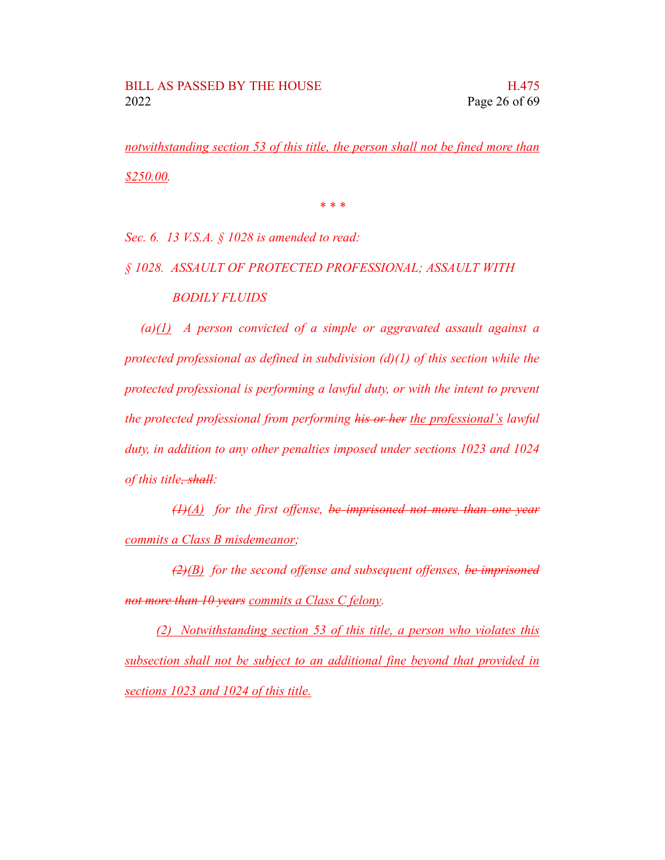*notwithstanding section 53 of this title, the person shall not be fined more than \$250.00.*

*\* \* \**

*Sec. 6. 13 V.S.A. § 1028 is amended to read:*

*§ 1028. ASSAULT OF PROTECTED PROFESSIONAL; ASSAULT WITH BODILY FLUIDS*

*(a)(1) A person convicted of a simple or aggravated assault against a protected professional as defined in subdivision (d)(1) of this section while the protected professional is performing a lawful duty, or with the intent to prevent the protected professional from performing his or her the professional's lawful duty, in addition to any other penalties imposed under sections 1023 and 1024 of this title, shall:*

*(1)(A) for the first offense, be imprisoned not more than one year commits a Class B misdemeanor;*

*(2)(B) for the second offense and subsequent offenses, be imprisoned not more than 10 years commits a Class C felony.*

*(2) Notwithstanding section 53 of this title, a person who violates this subsection shall not be subject to an additional fine beyond that provided in sections 1023 and 1024 of this title.*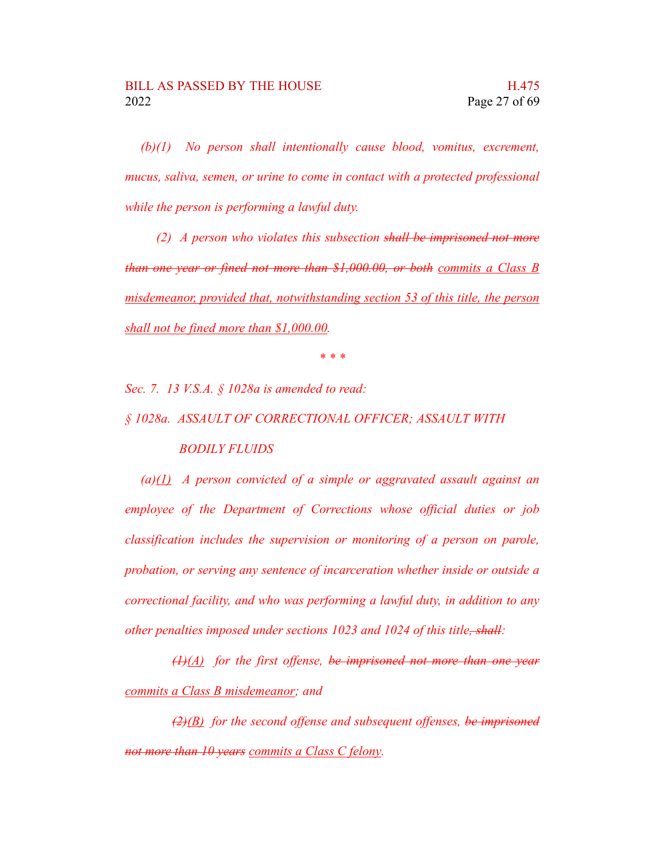*(b)(1) No person shall intentionally cause blood, vomitus, excrement, mucus, saliva, semen, or urine to come in contact with a protected professional while the person is performing a lawful duty.*

*(2) A person who violates this subsection shall be imprisoned not more than one year or fined not more than \$1,000.00, or both commits a Class B misdemeanor, provided that, notwithstanding section 53 of this title, the person shall not be fined more than \$1,000.00.*

*\* \* \**

*Sec. 7. 13 V.S.A. § 1028a is amended to read:*

*§ 1028a. ASSAULT OF CORRECTIONAL OFFICER; ASSAULT WITH BODILY FLUIDS*

*(a)(1) A person convicted of a simple or aggravated assault against an employee of the Department of Corrections whose official duties or job classification includes the supervision or monitoring of a person on parole, probation, or serving any sentence of incarceration whether inside or outside a correctional facility, and who was performing a lawful duty, in addition to any other penalties imposed under sections 1023 and 1024 of this title, shall:*

*(1)(A) for the first offense, be imprisoned not more than one year commits a Class B misdemeanor; and*

*(2)(B) for the second offense and subsequent offenses, be imprisoned not more than 10 years commits a Class C felony.*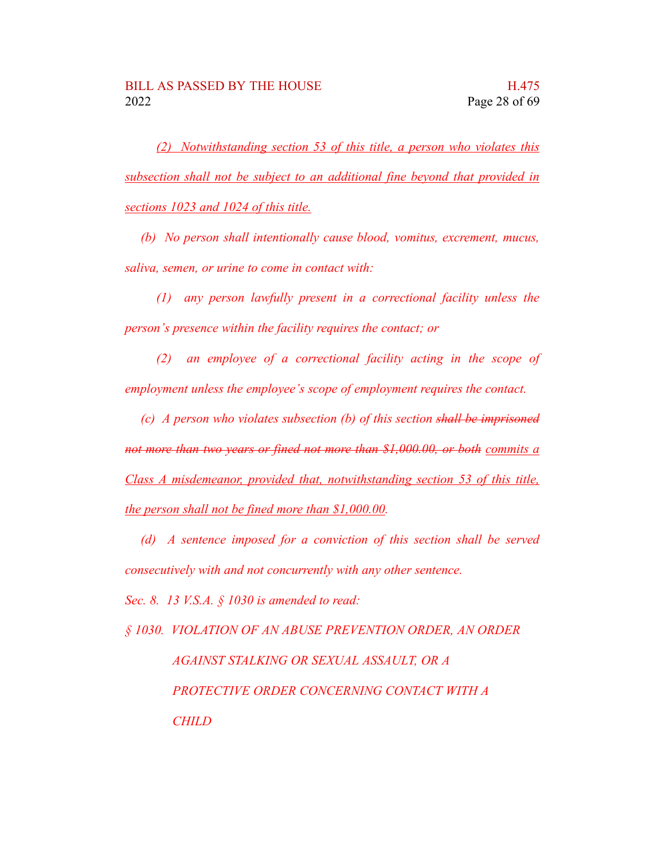*(2) Notwithstanding section 53 of this title, a person who violates this subsection shall not be subject to an additional fine beyond that provided in sections 1023 and 1024 of this title.*

*(b) No person shall intentionally cause blood, vomitus, excrement, mucus, saliva, semen, or urine to come in contact with:*

*(1) any person lawfully present in a correctional facility unless the person's presence within the facility requires the contact; or*

*(2) an employee of a correctional facility acting in the scope of employment unless the employee's scope of employment requires the contact.*

*(c) A person who violates subsection (b) of this section shall be imprisoned not more than two years or fined not more than \$1,000.00, or both commits a Class A misdemeanor, provided that, notwithstanding section 53 of this title, the person shall not be fined more than \$1,000.00.*

*(d) A sentence imposed for a conviction of this section shall be served consecutively with and not concurrently with any other sentence.*

*Sec. 8. 13 V.S.A. § 1030 is amended to read:*

*§ 1030. VIOLATION OF AN ABUSE PREVENTION ORDER, AN ORDER AGAINST STALKING OR SEXUAL ASSAULT, OR A PROTECTIVE ORDER CONCERNING CONTACT WITH A CHILD*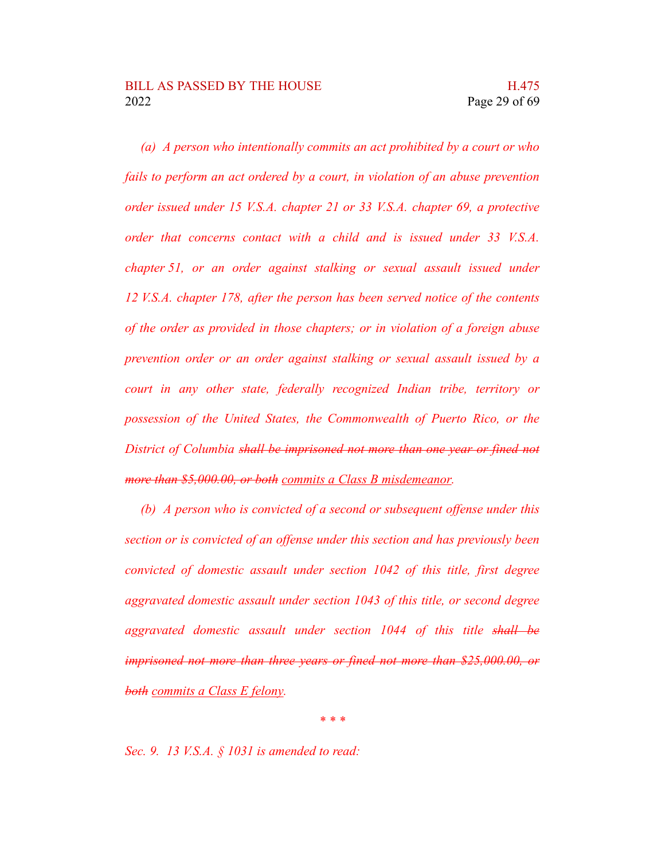*(a) A person who intentionally commits an act prohibited by a court or who fails to perform an act ordered by a court, in violation of an abuse prevention order issued under 15 V.S.A. chapter 21 or 33 V.S.A. chapter 69, a protective order that concerns contact with a child and is issued under 33 V.S.A. chapter 51, or an order against stalking or sexual assault issued under 12 V.S.A. chapter 178, after the person has been served notice of the contents of the order as provided in those chapters; or in violation of a foreign abuse prevention order or an order against stalking or sexual assault issued by a court in any other state, federally recognized Indian tribe, territory or possession of the United States, the Commonwealth of Puerto Rico, or the District of Columbia shall be imprisoned not more than one year or fined not more than \$5,000.00, or both commits a Class B misdemeanor.*

*(b) A person who is convicted of a second or subsequent offense under this section or is convicted of an offense under this section and has previously been convicted of domestic assault under section 1042 of this title, first degree aggravated domestic assault under section 1043 of this title, or second degree aggravated domestic assault under section 1044 of this title shall be imprisoned not more than three years or fined not more than \$25,000.00, or both commits a Class E felony.*

*\* \* \**

*Sec. 9. 13 V.S.A. § 1031 is amended to read:*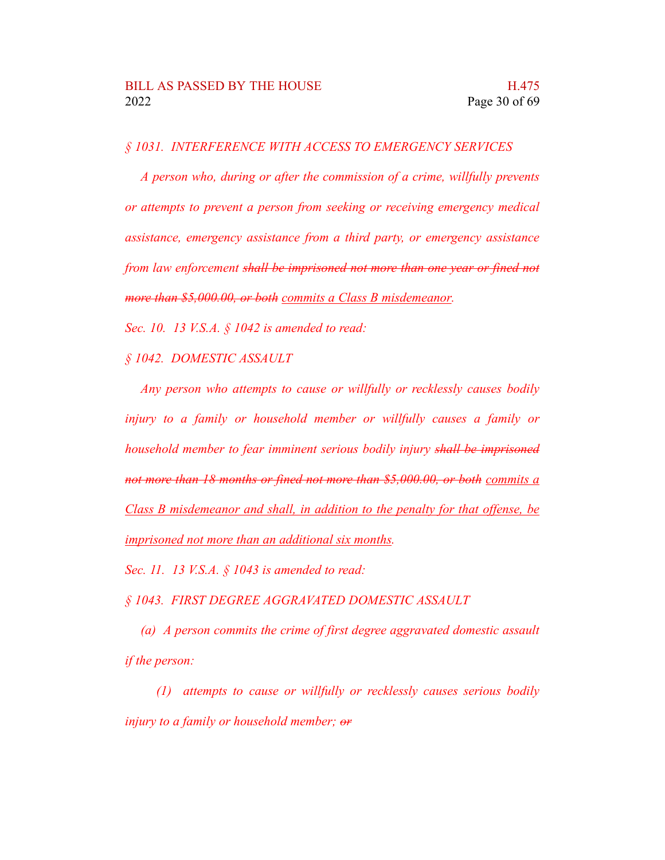### *§ 1031. INTERFERENCE WITH ACCESS TO EMERGENCY SERVICES*

*A person who, during or after the commission of a crime, willfully prevents or attempts to prevent a person from seeking or receiving emergency medical assistance, emergency assistance from a third party, or emergency assistance from law enforcement shall be imprisoned not more than one year or fined not more than \$5,000.00, or both commits a Class B misdemeanor.*

*Sec. 10. 13 V.S.A. § 1042 is amended to read:*

*§ 1042. DOMESTIC ASSAULT*

*Any person who attempts to cause or willfully or recklessly causes bodily injury to a family or household member or willfully causes a family or household member to fear imminent serious bodily injury shall be imprisoned not more than 18 months or fined not more than \$5,000.00, or both commits a Class B misdemeanor and shall, in addition to the penalty for that offense, be imprisoned not more than an additional six months.*

*Sec. 11. 13 V.S.A. § 1043 is amended to read:*

*§ 1043. FIRST DEGREE AGGRAVATED DOMESTIC ASSAULT*

*(a) A person commits the crime of first degree aggravated domestic assault if the person:*

*(1) attempts to cause or willfully or recklessly causes serious bodily injury to a family or household member; or*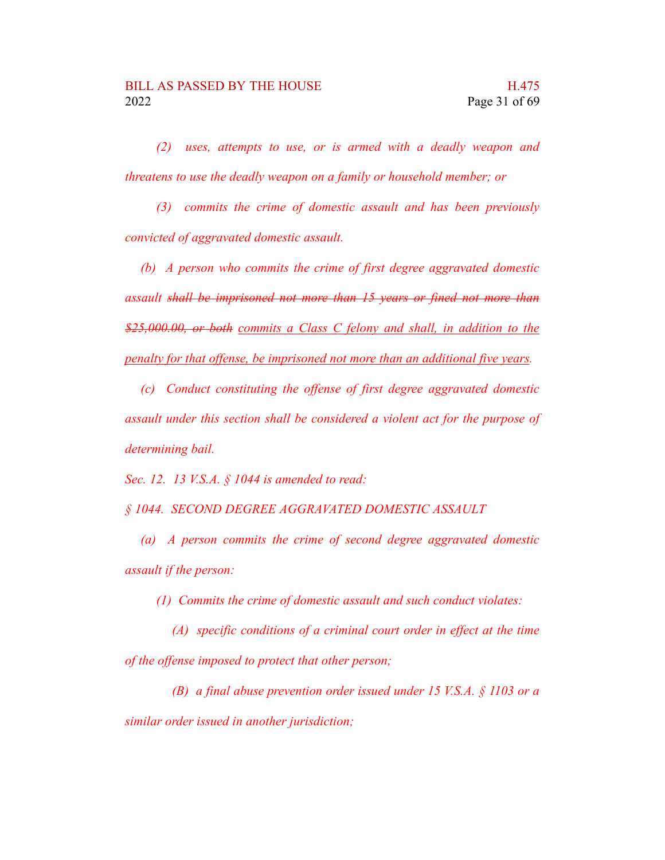*(2) uses, attempts to use, or is armed with a deadly weapon and threatens to use the deadly weapon on a family or household member; or*

*(3) commits the crime of domestic assault and has been previously convicted of aggravated domestic assault.*

*(b) A person who commits the crime of first degree aggravated domestic assault shall be imprisoned not more than 15 years or fined not more than \$25,000.00, or both commits a Class C felony and shall, in addition to the penalty for that offense, be imprisoned not more than an additional five years.*

*(c) Conduct constituting the offense of first degree aggravated domestic assault under this section shall be considered a violent act for the purpose of determining bail.*

*Sec. 12. 13 V.S.A. § 1044 is amended to read:*

*§ 1044. SECOND DEGREE AGGRAVATED DOMESTIC ASSAULT*

*(a) A person commits the crime of second degree aggravated domestic assault if the person:*

*(1) Commits the crime of domestic assault and such conduct violates:*

*(A) specific conditions of a criminal court order in effect at the time of the offense imposed to protect that other person;*

*(B) a final abuse prevention order issued under 15 V.S.A. § 1103 or a similar order issued in another jurisdiction;*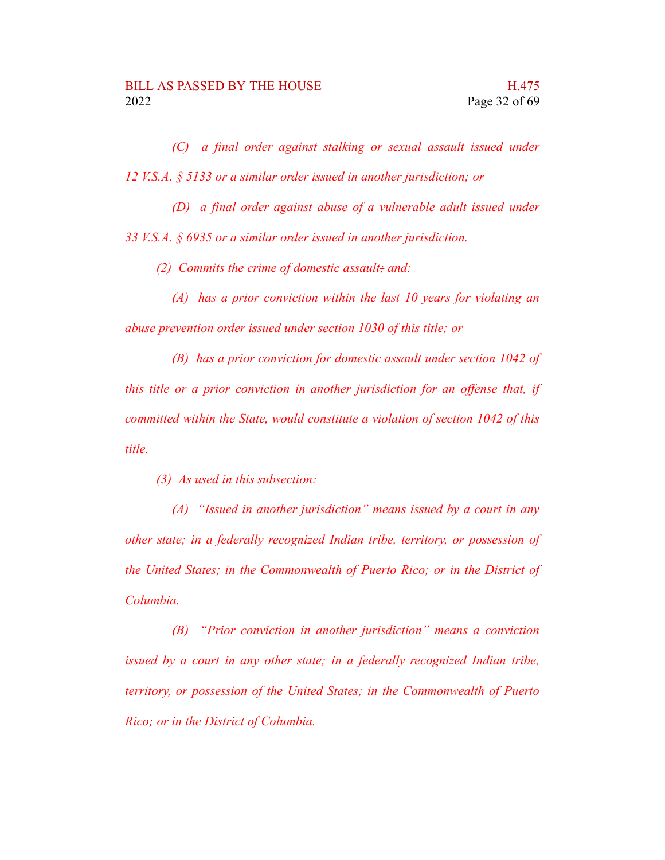*(C) a final order against stalking or sexual assault issued under 12 V.S.A. § 5133 or a similar order issued in another jurisdiction; or*

*(D) a final order against abuse of a vulnerable adult issued under 33 V.S.A. § 6935 or a similar order issued in another jurisdiction.*

*(2) Commits the crime of domestic assault; and:*

*(A) has a prior conviction within the last 10 years for violating an abuse prevention order issued under section 1030 of this title; or*

*(B) has a prior conviction for domestic assault under section 1042 of this title or a prior conviction in another jurisdiction for an offense that, if committed within the State, would constitute a violation of section 1042 of this title.*

*(3) As used in this subsection:*

*(A) "Issued in another jurisdiction" means issued by a court in any other state; in a federally recognized Indian tribe, territory, or possession of the United States; in the Commonwealth of Puerto Rico; or in the District of Columbia.*

*(B) "Prior conviction in another jurisdiction" means a conviction issued by a court in any other state; in a federally recognized Indian tribe, territory, or possession of the United States; in the Commonwealth of Puerto Rico; or in the District of Columbia.*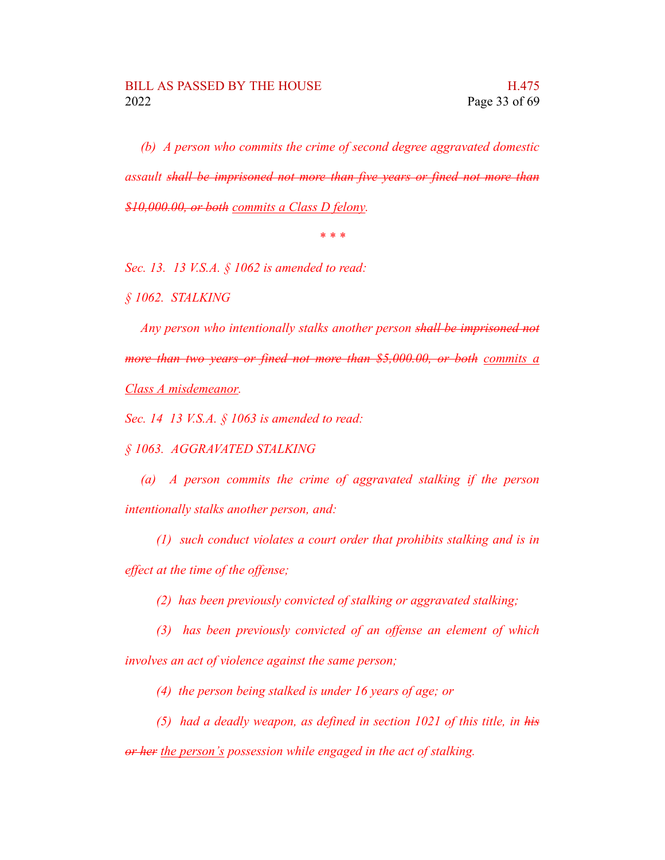*(b) A person who commits the crime of second degree aggravated domestic assault shall be imprisoned not more than five years or fined not more than \$10,000.00, or both commits a Class D felony.*

*\* \* \**

*Sec. 13. 13 V.S.A. § 1062 is amended to read:*

*§ 1062. STALKING*

*Any person who intentionally stalks another person shall be imprisoned not more than two years or fined not more than \$5,000.00, or both commits a Class A misdemeanor.*

*Sec. 14 13 V.S.A. § 1063 is amended to read:*

*§ 1063. AGGRAVATED STALKING*

*(a) A person commits the crime of aggravated stalking if the person intentionally stalks another person, and:*

*(1) such conduct violates a court order that prohibits stalking and is in effect at the time of the offense;*

*(2) has been previously convicted of stalking or aggravated stalking;*

*(3) has been previously convicted of an offense an element of which involves an act of violence against the same person;*

*(4) the person being stalked is under 16 years of age; or*

*(5) had a deadly weapon, as defined in section 1021 of this title, in his or her the person's possession while engaged in the act of stalking.*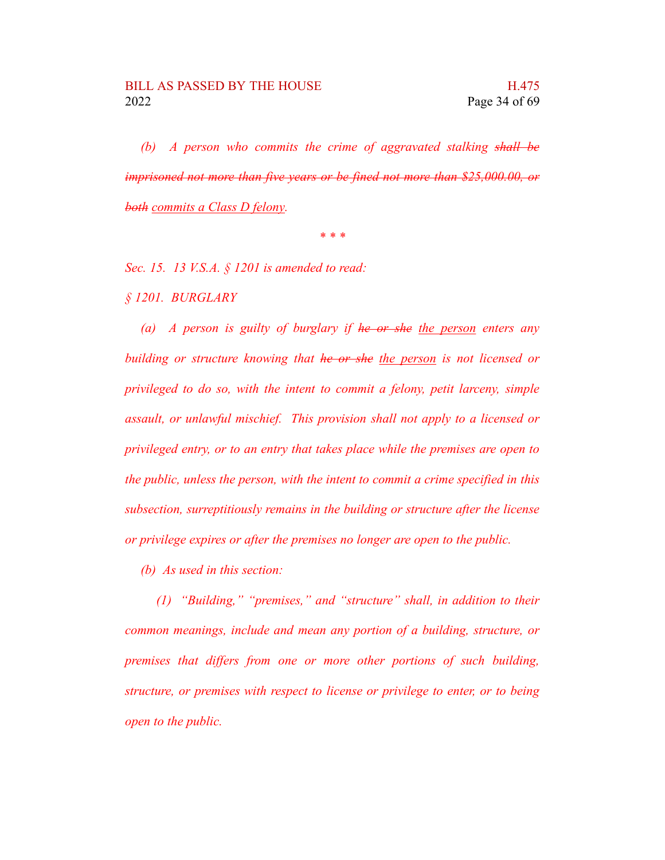*(b) A person who commits the crime of aggravated stalking shall be imprisoned not more than five years or be fined not more than \$25,000.00, or both commits a Class D felony.*

*\* \* \**

*Sec. 15. 13 V.S.A. § 1201 is amended to read:*

*§ 1201. BURGLARY*

*(a) A person is guilty of burglary if he or she the person enters any building or structure knowing that he or she the person is not licensed or privileged to do so, with the intent to commit a felony, petit larceny, simple assault, or unlawful mischief. This provision shall not apply to a licensed or privileged entry, or to an entry that takes place while the premises are open to the public, unless the person, with the intent to commit a crime specified in this subsection, surreptitiously remains in the building or structure after the license or privilege expires or after the premises no longer are open to the public.*

*(b) As used in this section:*

*(1) "Building," "premises," and "structure" shall, in addition to their common meanings, include and mean any portion of a building, structure, or premises that differs from one or more other portions of such building, structure, or premises with respect to license or privilege to enter, or to being open to the public.*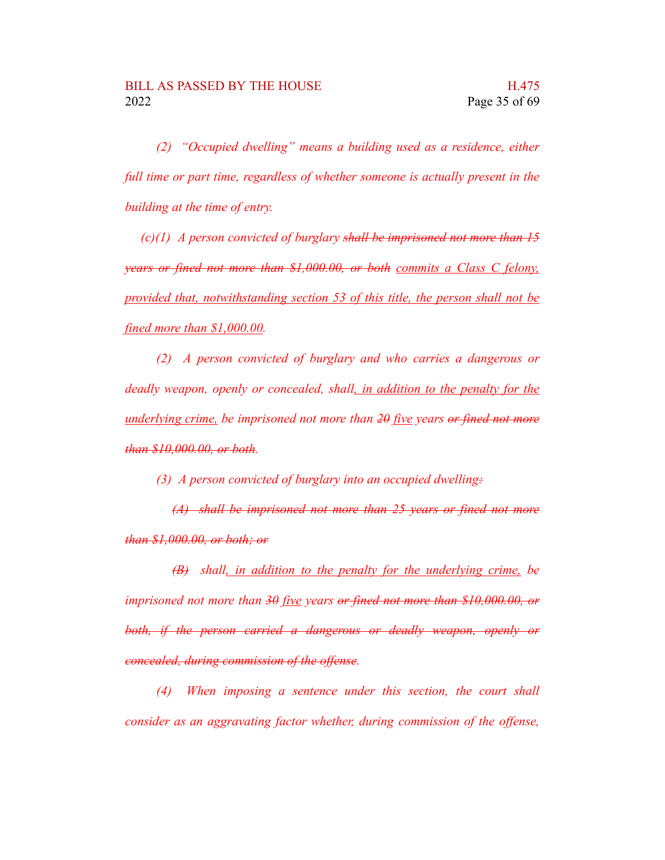*(2) "Occupied dwelling" means a building used as a residence, either full time or part time, regardless of whether someone is actually present in the building at the time of entry.*

*(c)(1) A person convicted of burglary shall be imprisoned not more than 15 years or fined not more than \$1,000.00, or both commits a Class C felony, provided that, notwithstanding section 53 of this title, the person shall not be fined more than \$1,000.00.*

*(2) A person convicted of burglary and who carries a dangerous or deadly weapon, openly or concealed, shall, in addition to the penalty for the underlying crime, be imprisoned not more than 20 five years or fined not more than \$10,000.00, or both.*

*(3) A person convicted of burglary into an occupied dwelling:*

*(A) shall be imprisoned not more than 25 years or fined not more than \$1,000.00, or both; or*

*(B) shall, in addition to the penalty for the underlying crime, be imprisoned not more than 30 five years or fined not more than \$10,000.00, or both, if the person carried a dangerous or deadly weapon, openly or concealed, during commission of the offense.*

*(4) When imposing a sentence under this section, the court shall consider as an aggravating factor whether, during commission of the offense,*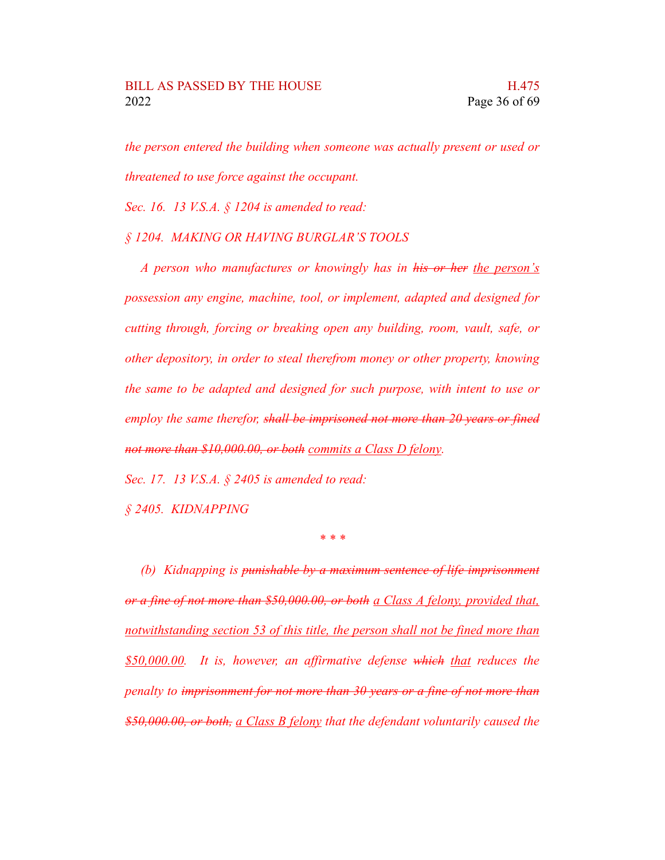*the person entered the building when someone was actually present or used or threatened to use force against the occupant.*

*Sec. 16. 13 V.S.A. § 1204 is amended to read:*

#### *§ 1204. MAKING OR HAVING BURGLAR'S TOOLS*

*A person who manufactures or knowingly has in his or her the person's possession any engine, machine, tool, or implement, adapted and designed for cutting through, forcing or breaking open any building, room, vault, safe, or other depository, in order to steal therefrom money or other property, knowing the same to be adapted and designed for such purpose, with intent to use or employ the same therefor, shall be imprisoned not more than 20 years or fined not more than \$10,000.00, or both commits a Class D felony.*

*Sec. 17. 13 V.S.A. § 2405 is amended to read:*

*§ 2405. KIDNAPPING*

*\* \* \**

*(b) Kidnapping is punishable by a maximum sentence of life imprisonment or a fine of not more than \$50,000.00, or both a Class A felony, provided that, notwithstanding section 53 of this title, the person shall not be fined more than \$50,000.00. It is, however, an affirmative defense which that reduces the penalty to imprisonment for not more than 30 years or a fine of not more than \$50,000.00, or both, a Class B felony that the defendant voluntarily caused the*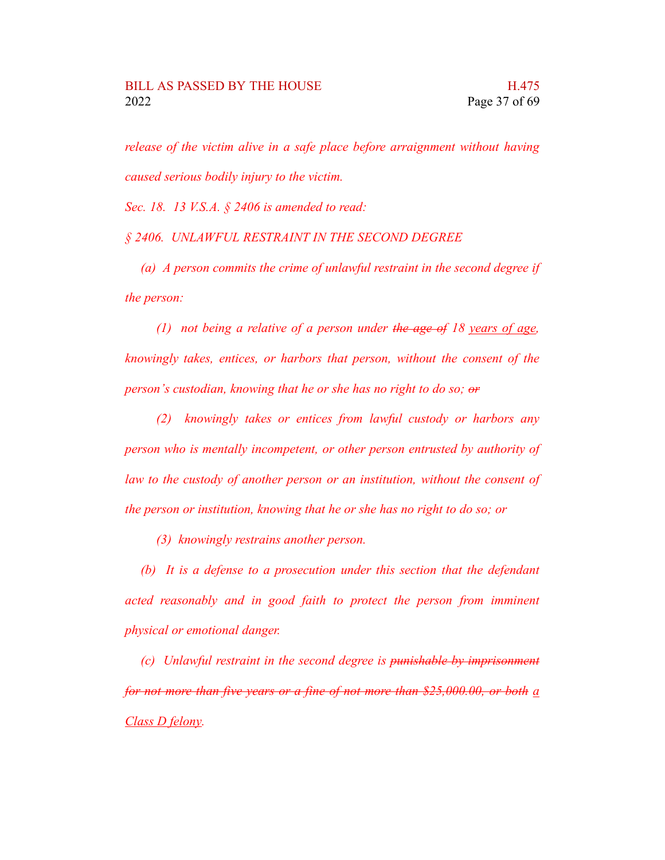*release of the victim alive in a safe place before arraignment without having caused serious bodily injury to the victim.*

*Sec. 18. 13 V.S.A. § 2406 is amended to read:*

*§ 2406. UNLAWFUL RESTRAINT IN THE SECOND DEGREE*

*(a) A person commits the crime of unlawful restraint in the second degree if the person:*

*(1) not being a relative of a person under the age of 18 years of age, knowingly takes, entices, or harbors that person, without the consent of the person's custodian, knowing that he or she has no right to do so; or*

*(2) knowingly takes or entices from lawful custody or harbors any person who is mentally incompetent, or other person entrusted by authority of law to the custody of another person or an institution, without the consent of the person or institution, knowing that he or she has no right to do so; or*

*(3) knowingly restrains another person.*

*(b) It is a defense to a prosecution under this section that the defendant acted reasonably and in good faith to protect the person from imminent physical or emotional danger.*

*(c) Unlawful restraint in the second degree is punishable by imprisonment for not more than five years or a fine of not more than \$25,000.00, or both a Class D felony.*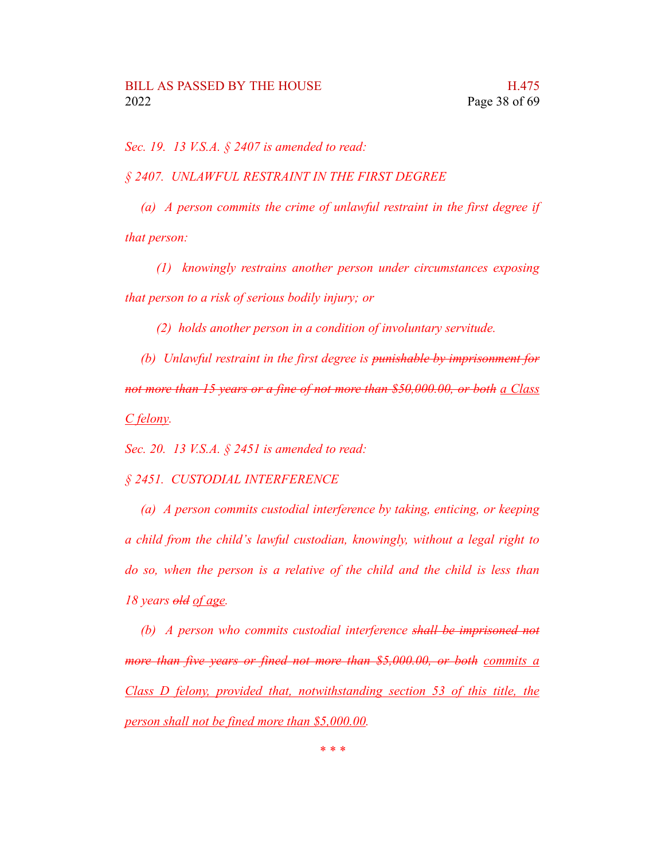*Sec. 19. 13 V.S.A. § 2407 is amended to read:*

*§ 2407. UNLAWFUL RESTRAINT IN THE FIRST DEGREE*

*(a) A person commits the crime of unlawful restraint in the first degree if that person:*

*(1) knowingly restrains another person under circumstances exposing that person to a risk of serious bodily injury; or*

*(2) holds another person in a condition of involuntary servitude.*

*(b) Unlawful restraint in the first degree is punishable by imprisonment for not more than 15 years or a fine of not more than \$50,000.00, or both a Class C felony.*

*Sec. 20. 13 V.S.A. § 2451 is amended to read:*

#### *§ 2451. CUSTODIAL INTERFERENCE*

*(a) A person commits custodial interference by taking, enticing, or keeping a child from the child's lawful custodian, knowingly, without a legal right to do so, when the person is a relative of the child and the child is less than 18 years old of age.*

*(b) A person who commits custodial interference shall be imprisoned not more than five years or fined not more than \$5,000.00, or both commits a Class D felony, provided that, notwithstanding section 53 of this title, the person shall not be fined more than \$5,000.00.*

*\* \* \**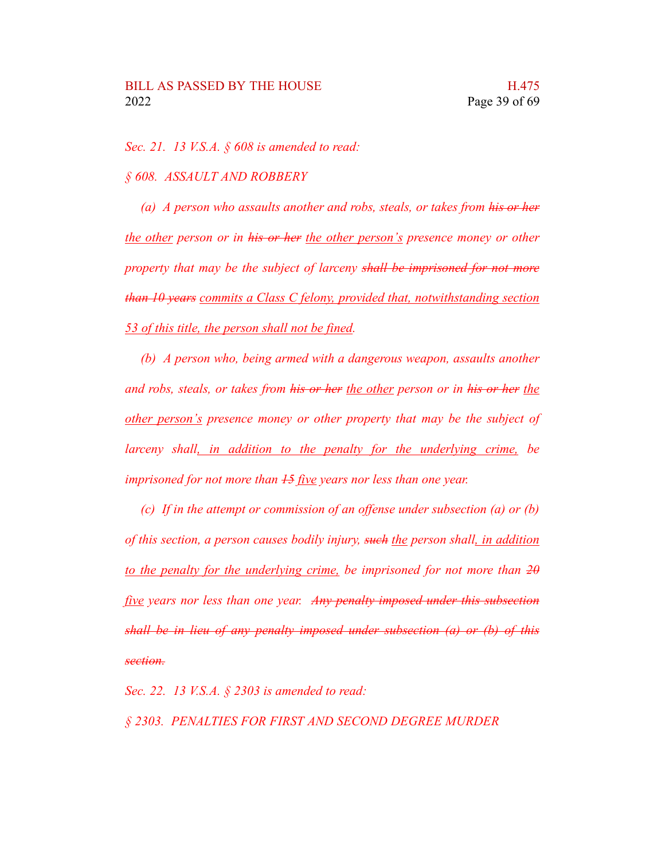*Sec. 21. 13 V.S.A. § 608 is amended to read:*

*§ 608. ASSAULT AND ROBBERY*

*(a) A person who assaults another and robs, steals, or takes from his or her the other person or in his or her the other person's presence money or other property that may be the subject of larceny shall be imprisoned for not more than 10 years commits a Class C felony, provided that, notwithstanding section 53 of this title, the person shall not be fined.*

*(b) A person who, being armed with a dangerous weapon, assaults another and robs, steals, or takes from his or her the other person or in his or her the other person's presence money or other property that may be the subject of larceny shall, in addition to the penalty for the underlying crime, be imprisoned for not more than 15 five years nor less than one year.*

*(c) If in the attempt or commission of an offense under subsection (a) or (b) of this section, a person causes bodily injury, such the person shall, in addition to the penalty for the underlying crime, be imprisoned for not more than 20 five years nor less than one year. Any penalty imposed under this subsection shall be in lieu of any penalty imposed under subsection (a) or (b) of this section.*

*Sec. 22. 13 V.S.A. § 2303 is amended to read:*

*§ 2303. PENALTIES FOR FIRST AND SECOND DEGREE MURDER*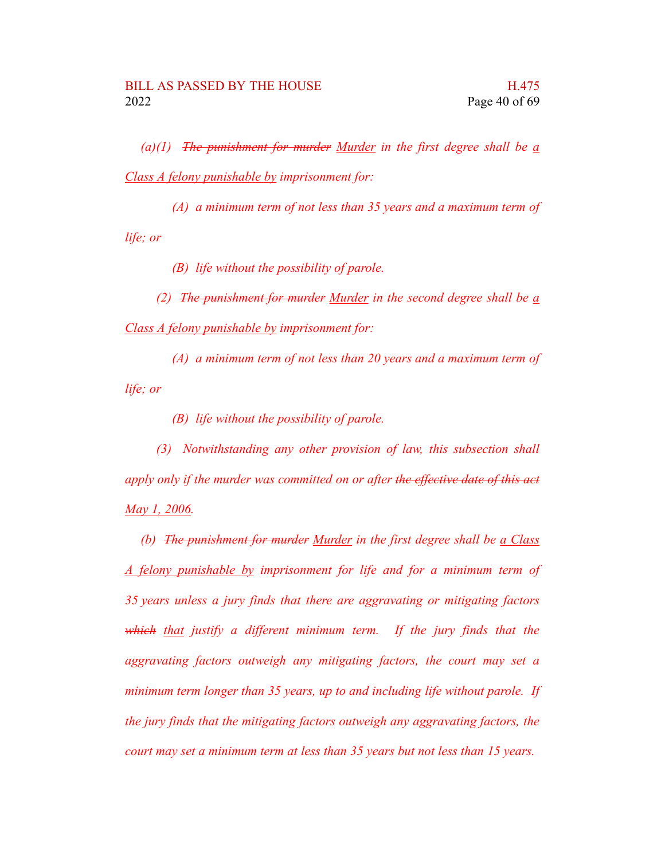*(a)(1) The punishment for murder Murder in the first degree shall be a Class A felony punishable by imprisonment for:*

*(A) a minimum term of not less than 35 years and a maximum term of life; or*

*(B) life without the possibility of parole.*

*(2) The punishment for murder Murder in the second degree shall be a Class A felony punishable by imprisonment for:*

*(A) a minimum term of not less than 20 years and a maximum term of life; or*

*(B) life without the possibility of parole.*

*(3) Notwithstanding any other provision of law, this subsection shall apply only if the murder was committed on or after the effective date of this act May 1, 2006.*

*(b) The punishment for murder Murder in the first degree shall be a Class A felony punishable by imprisonment for life and for a minimum term of 35 years unless a jury finds that there are aggravating or mitigating factors which that justify a different minimum term. If the jury finds that the aggravating factors outweigh any mitigating factors, the court may set a minimum term longer than 35 years, up to and including life without parole. If the jury finds that the mitigating factors outweigh any aggravating factors, the court may set a minimum term at less than 35 years but not less than 15 years.*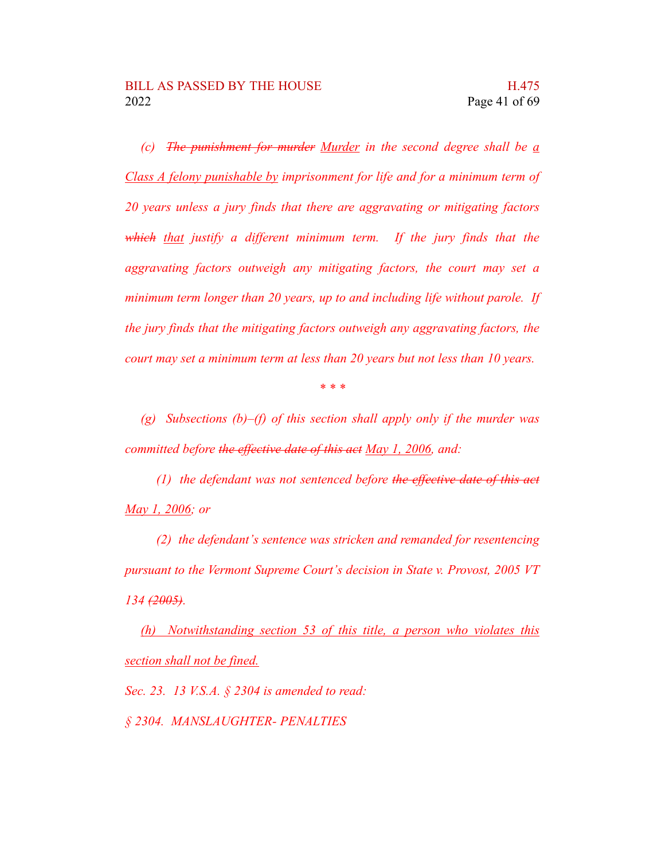*(c) The punishment for murder Murder in the second degree shall be a Class A felony punishable by imprisonment for life and for a minimum term of 20 years unless a jury finds that there are aggravating or mitigating factors which that justify a different minimum term. If the jury finds that the aggravating factors outweigh any mitigating factors, the court may set a minimum term longer than 20 years, up to and including life without parole. If the jury finds that the mitigating factors outweigh any aggravating factors, the court may set a minimum term at less than 20 years but not less than 10 years.*

*\* \* \**

*(g) Subsections (b)–(f) of this section shall apply only if the murder was committed before the effective date of this act May 1, 2006, and:*

*(1) the defendant was not sentenced before the effective date of this act May 1, 2006; or*

*(2) the defendant's sentence was stricken and remanded for resentencing pursuant to the Vermont Supreme Court's decision in State v. Provost, 2005 VT 134 (2005).*

*(h) Notwithstanding section 53 of this title, a person who violates this section shall not be fined.*

*Sec. 23. 13 V.S.A. § 2304 is amended to read:*

*§ 2304. MANSLAUGHTER- PENALTIES*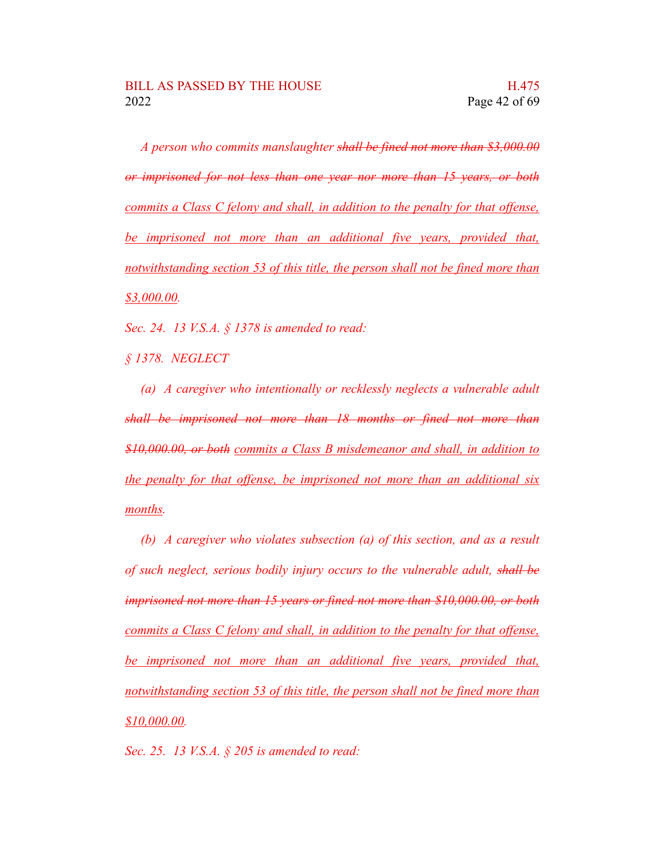*A person who commits manslaughter shall be fined not more than \$3,000.00 or imprisoned for not less than one year nor more than 15 years, or both commits a Class C felony and shall, in addition to the penalty for that offense, be imprisoned not more than an additional five years, provided that, notwithstanding section 53 of this title, the person shall not be fined more than \$3,000.00.*

*Sec. 24. 13 V.S.A. § 1378 is amended to read:*

*§ 1378. NEGLECT*

*(a) A caregiver who intentionally or recklessly neglects a vulnerable adult shall be imprisoned not more than 18 months or fined not more than \$10,000.00, or both commits a Class B misdemeanor and shall, in addition to the penalty for that offense, be imprisoned not more than an additional six months.*

*(b) A caregiver who violates subsection (a) of this section, and as a result of such neglect, serious bodily injury occurs to the vulnerable adult, shall be imprisoned not more than 15 years or fined not more than \$10,000.00, or both commits a Class C felony and shall, in addition to the penalty for that offense, be imprisoned not more than an additional five years, provided that, notwithstanding section 53 of this title, the person shall not be fined more than \$10,000.00.*

*Sec. 25. 13 V.S.A. § 205 is amended to read:*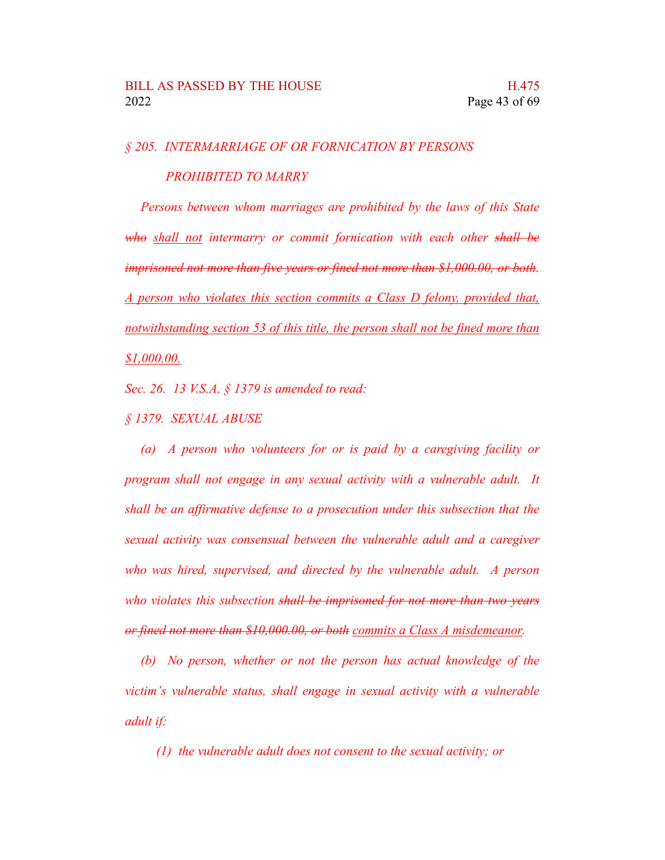## *§ 205. INTERMARRIAGE OF OR FORNICATION BY PERSONS*

*PROHIBITED TO MARRY*

*Persons between whom marriages are prohibited by the laws of this State who shall not intermarry or commit fornication with each other shall be imprisoned not more than five years or fined not more than \$1,000.00, or both. A person who violates this section commits a Class D felony, provided that, notwithstanding section 53 of this title, the person shall not be fined more than \$1,000.00.*

*Sec. 26. 13 V.S.A. § 1379 is amended to read:*

*§ 1379. SEXUAL ABUSE*

*(a) A person who volunteers for or is paid by a caregiving facility or program shall not engage in any sexual activity with a vulnerable adult. It shall be an affirmative defense to a prosecution under this subsection that the sexual activity was consensual between the vulnerable adult and a caregiver who was hired, supervised, and directed by the vulnerable adult. A person who violates this subsection shall be imprisoned for not more than two years or fined not more than \$10,000.00, or both commits a Class A misdemeanor.*

*(b) No person, whether or not the person has actual knowledge of the victim's vulnerable status, shall engage in sexual activity with a vulnerable adult if:*

*(1) the vulnerable adult does not consent to the sexual activity; or*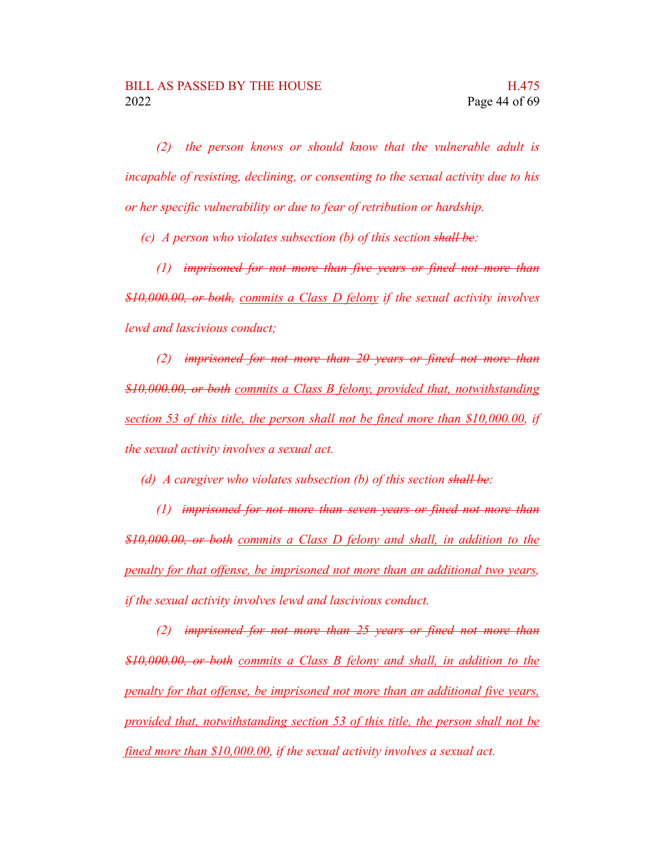*(2) the person knows or should know that the vulnerable adult is incapable of resisting, declining, or consenting to the sexual activity due to his or her specific vulnerability or due to fear of retribution or hardship.*

*(c) A person who violates subsection (b) of this section shall be:*

*(1) imprisoned for not more than five years or fined not more than \$10,000.00, or both, commits a Class D felony if the sexual activity involves lewd and lascivious conduct;*

*(2) imprisoned for not more than 20 years or fined not more than \$10,000.00, or both commits a Class B felony, provided that, notwithstanding section 53 of this title, the person shall not be fined more than \$10,000.00, if the sexual activity involves a sexual act.*

*(d) A caregiver who violates subsection (b) of this section shall be:*

*(1) imprisoned for not more than seven years or fined not more than \$10,000.00, or both commits a Class D felony and shall, in addition to the penalty for that offense, be imprisoned not more than an additional two years, if the sexual activity involves lewd and lascivious conduct.*

*(2) imprisoned for not more than 25 years or fined not more than \$10,000.00, or both commits a Class B felony and shall, in addition to the penalty for that offense, be imprisoned not more than an additional five years, provided that, notwithstanding section 53 of this title, the person shall not be fined more than \$10,000.00, if the sexual activity involves a sexual act.*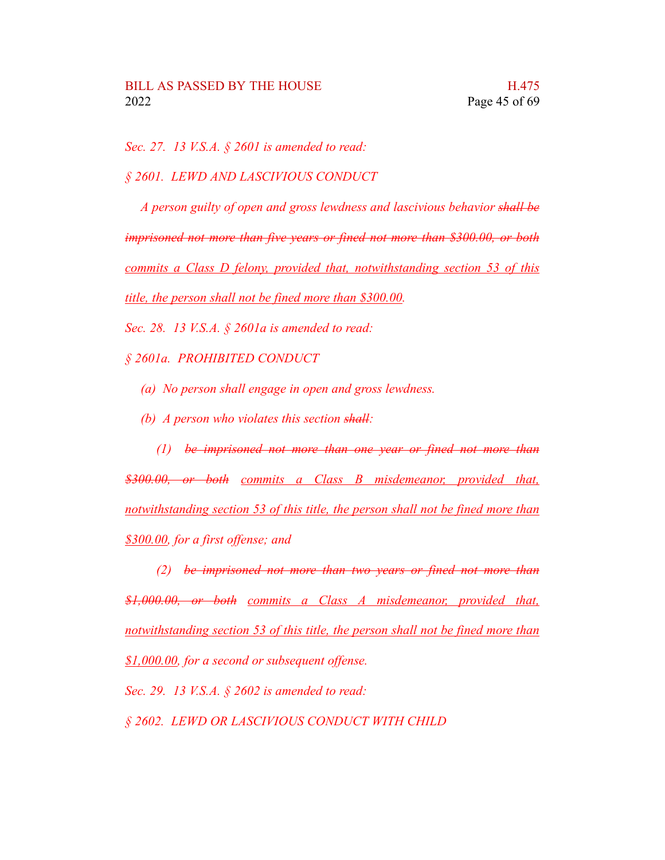*Sec. 27. 13 V.S.A. § 2601 is amended to read:*

*§ 2601. LEWD AND LASCIVIOUS CONDUCT*

*A person guilty of open and gross lewdness and lascivious behavior shall be imprisoned not more than five years or fined not more than \$300.00, or both commits a Class D felony, provided that, notwithstanding section 53 of this title, the person shall not be fined more than \$300.00.*

*Sec. 28. 13 V.S.A. § 2601a is amended to read:*

*§ 2601a. PROHIBITED CONDUCT*

- *(a) No person shall engage in open and gross lewdness.*
- *(b) A person who violates this section shall:*

*(1) be imprisoned not more than one year or fined not more than \$300.00, or both commits a Class B misdemeanor, provided that, notwithstanding section 53 of this title, the person shall not be fined more than \$300.00, for a first offense; and*

*(2) be imprisoned not more than two years or fined not more than \$1,000.00, or both commits a Class A misdemeanor, provided that, notwithstanding section 53 of this title, the person shall not be fined more than \$1,000.00, for a second or subsequent offense.*

*Sec. 29. 13 V.S.A. § 2602 is amended to read:*

*§ 2602. LEWD OR LASCIVIOUS CONDUCT WITH CHILD*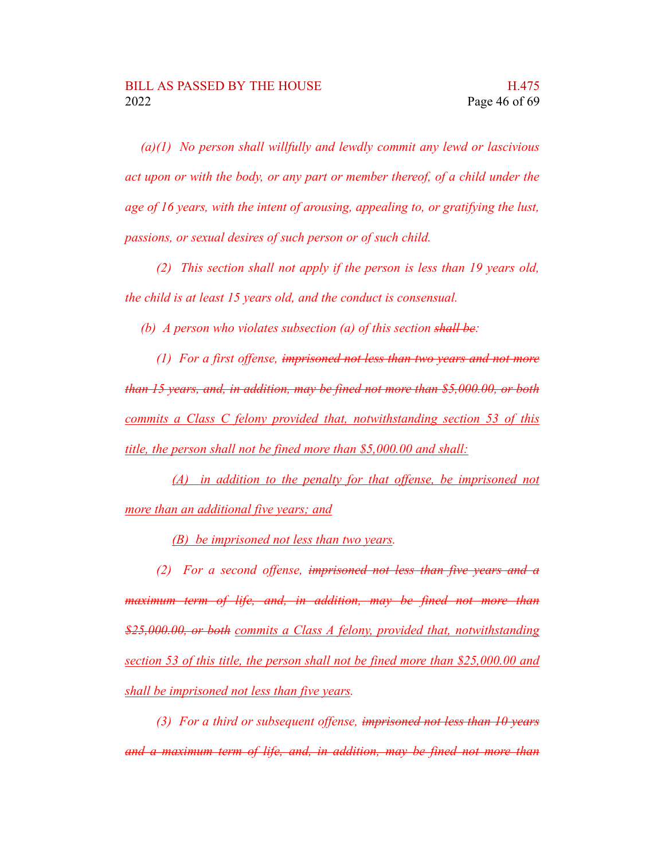*(a)(1) No person shall willfully and lewdly commit any lewd or lascivious act upon or with the body, or any part or member thereof, of a child under the age of 16 years, with the intent of arousing, appealing to, or gratifying the lust, passions, or sexual desires of such person or of such child.*

*(2) This section shall not apply if the person is less than 19 years old, the child is at least 15 years old, and the conduct is consensual.*

*(b) A person who violates subsection (a) of this section shall be:*

*(1) For a first offense, imprisoned not less than two years and not more than 15 years, and, in addition, may be fined not more than \$5,000.00, or both commits a Class C felony provided that, notwithstanding section 53 of this title, the person shall not be fined more than \$5,000.00 and shall:*

*(A) in addition to the penalty for that offense, be imprisoned not more than an additional five years; and*

*(B) be imprisoned not less than two years.*

*(2) For a second offense, imprisoned not less than five years and a maximum term of life, and, in addition, may be fined not more than \$25,000.00, or both commits a Class A felony, provided that, notwithstanding section 53 of this title, the person shall not be fined more than \$25,000.00 and shall be imprisoned not less than five years.*

*(3) For a third or subsequent offense, imprisoned not less than 10 years and a maximum term of life, and, in addition, may be fined not more than*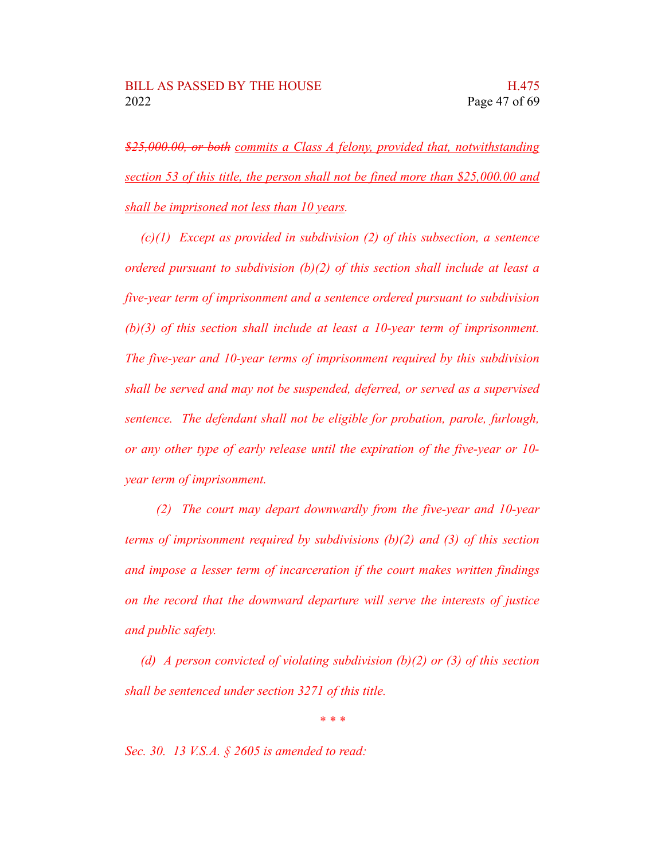*\$25,000.00, or both commits a Class A felony, provided that, notwithstanding section 53 of this title, the person shall not be fined more than \$25,000.00 and shall be imprisoned not less than 10 years.*

*(c)(1) Except as provided in subdivision (2) of this subsection, a sentence ordered pursuant to subdivision (b)(2) of this section shall include at least a five-year term of imprisonment and a sentence ordered pursuant to subdivision (b)(3) of this section shall include at least a 10-year term of imprisonment. The five-year and 10-year terms of imprisonment required by this subdivision shall be served and may not be suspended, deferred, or served as a supervised sentence. The defendant shall not be eligible for probation, parole, furlough, or any other type of early release until the expiration of the five-year or 10 year term of imprisonment.*

*(2) The court may depart downwardly from the five-year and 10-year terms of imprisonment required by subdivisions (b)(2) and (3) of this section and impose a lesser term of incarceration if the court makes written findings on the record that the downward departure will serve the interests of justice and public safety.*

*(d) A person convicted of violating subdivision (b)(2) or (3) of this section shall be sentenced under section 3271 of this title.*

*\* \* \**

*Sec. 30. 13 V.S.A. § 2605 is amended to read:*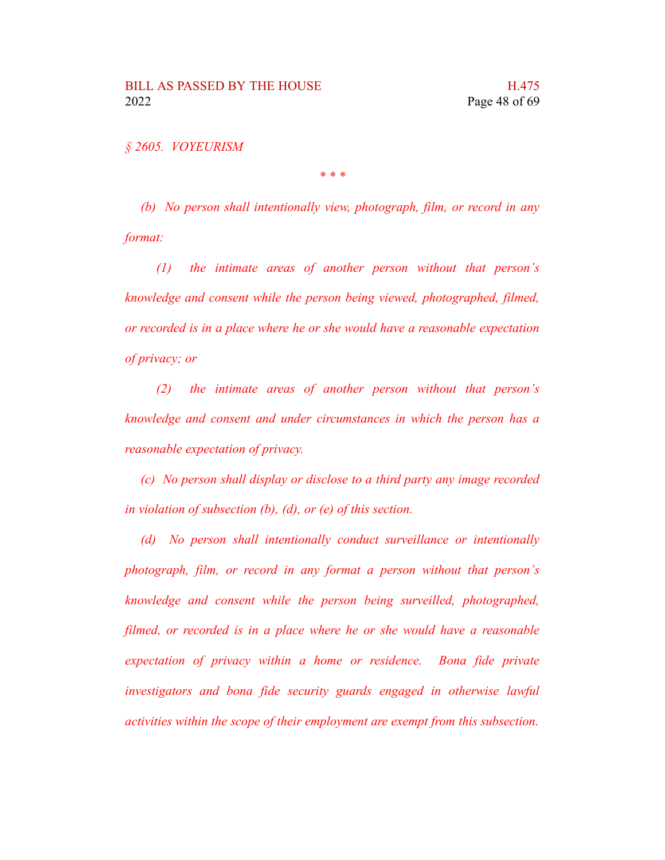*§ 2605. VOYEURISM*

*\* \* \**

*(b) No person shall intentionally view, photograph, film, or record in any format:*

*(1) the intimate areas of another person without that person's knowledge and consent while the person being viewed, photographed, filmed, or recorded is in a place where he or she would have a reasonable expectation of privacy; or*

*(2) the intimate areas of another person without that person's knowledge and consent and under circumstances in which the person has a reasonable expectation of privacy.*

*(c) No person shall display or disclose to a third party any image recorded in violation of subsection (b), (d), or (e) of this section.*

*(d) No person shall intentionally conduct surveillance or intentionally photograph, film, or record in any format a person without that person's knowledge and consent while the person being surveilled, photographed, filmed, or recorded is in a place where he or she would have a reasonable expectation of privacy within a home or residence. Bona fide private investigators and bona fide security guards engaged in otherwise lawful activities within the scope of their employment are exempt from this subsection.*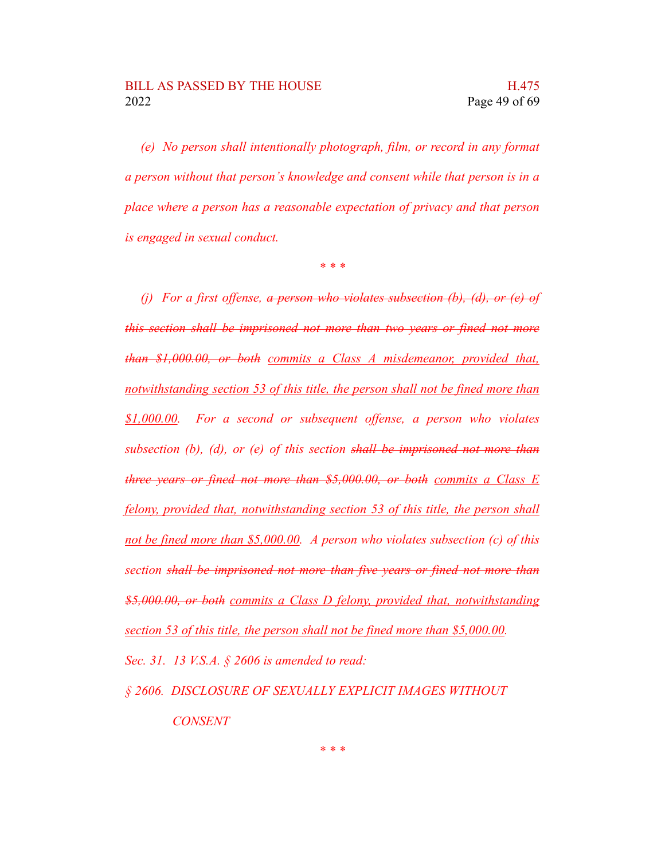*(e) No person shall intentionally photograph, film, or record in any format a person without that person's knowledge and consent while that person is in a place where a person has a reasonable expectation of privacy and that person is engaged in sexual conduct.*

*\* \* \**

*(j) For a first offense, a person who violates subsection (b), (d), or (e) of this section shall be imprisoned not more than two years or fined not more than \$1,000.00, or both commits a Class A misdemeanor, provided that, notwithstanding section 53 of this title, the person shall not be fined more than \$1,000.00. For a second or subsequent offense, a person who violates subsection (b), (d), or (e) of this section shall be imprisoned not more than three years or fined not more than \$5,000.00, or both commits a Class E felony, provided that, notwithstanding section 53 of this title, the person shall not be fined more than \$5,000.00. A person who violates subsection (c) of this section shall be imprisoned not more than five years or fined not more than \$5,000.00, or both commits a Class D felony, provided that, notwithstanding section 53 of this title, the person shall not be fined more than \$5,000.00.*

*Sec. 31. 13 V.S.A. § 2606 is amended to read:*

*§ 2606. DISCLOSURE OF SEXUALLY EXPLICIT IMAGES WITHOUT CONSENT*

*\* \* \**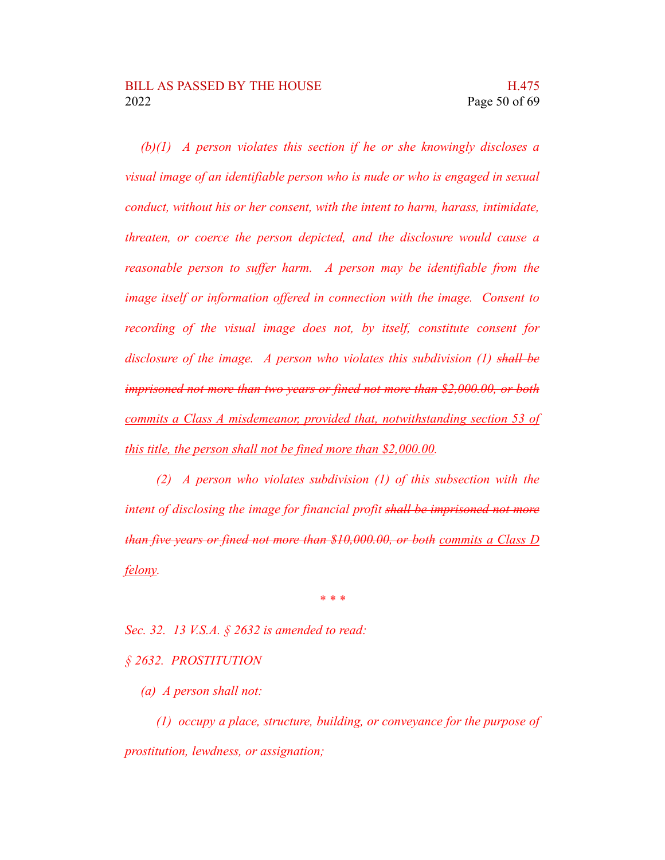*(b)(1) A person violates this section if he or she knowingly discloses a visual image of an identifiable person who is nude or who is engaged in sexual conduct, without his or her consent, with the intent to harm, harass, intimidate, threaten, or coerce the person depicted, and the disclosure would cause a reasonable person to suffer harm. A person may be identifiable from the image itself or information offered in connection with the image. Consent to recording of the visual image does not, by itself, constitute consent for disclosure of the image. A person who violates this subdivision (1) shall be imprisoned not more than two years or fined not more than \$2,000.00, or both commits a Class A misdemeanor, provided that, notwithstanding section 53 of this title, the person shall not be fined more than \$2,000.00.*

*(2) A person who violates subdivision (1) of this subsection with the intent of disclosing the image for financial profit shall be imprisoned not more than five years or fined not more than \$10,000.00, or both commits a Class D felony.*

*\* \* \**

*Sec. 32. 13 V.S.A. § 2632 is amended to read:*

### *§ 2632. PROSTITUTION*

*(a) A person shall not:*

*(1) occupy a place, structure, building, or conveyance for the purpose of prostitution, lewdness, or assignation;*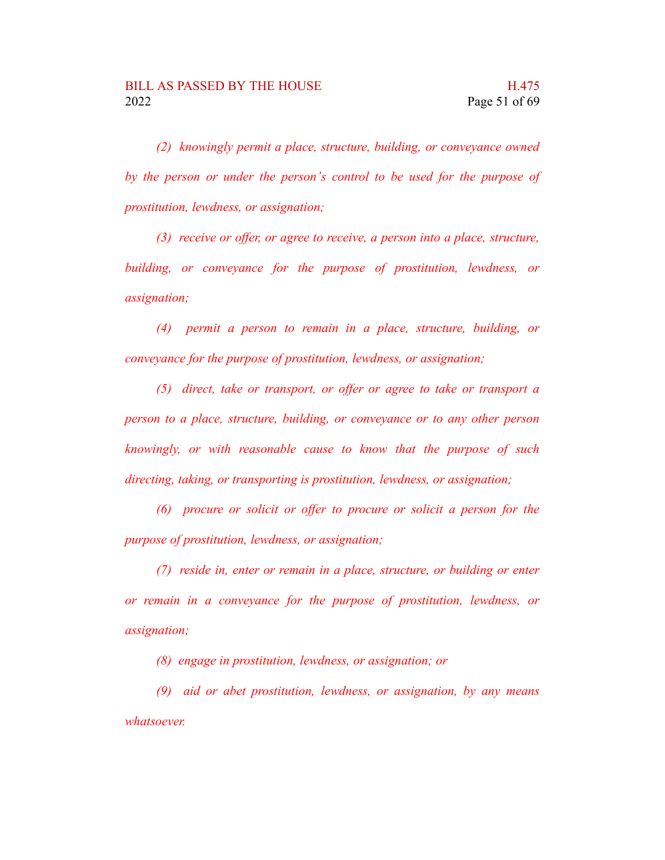*(2) knowingly permit a place, structure, building, or conveyance owned by the person or under the person's control to be used for the purpose of prostitution, lewdness, or assignation;*

*(3) receive or offer, or agree to receive, a person into a place, structure, building, or conveyance for the purpose of prostitution, lewdness, or assignation;*

*(4) permit a person to remain in a place, structure, building, or conveyance for the purpose of prostitution, lewdness, or assignation;*

*(5) direct, take or transport, or offer or agree to take or transport a person to a place, structure, building, or conveyance or to any other person knowingly, or with reasonable cause to know that the purpose of such directing, taking, or transporting is prostitution, lewdness, or assignation;*

*(6) procure or solicit or offer to procure or solicit a person for the purpose of prostitution, lewdness, or assignation;*

*(7) reside in, enter or remain in a place, structure, or building or enter or remain in a conveyance for the purpose of prostitution, lewdness, or assignation;*

*(8) engage in prostitution, lewdness, or assignation; or*

*(9) aid or abet prostitution, lewdness, or assignation, by any means whatsoever.*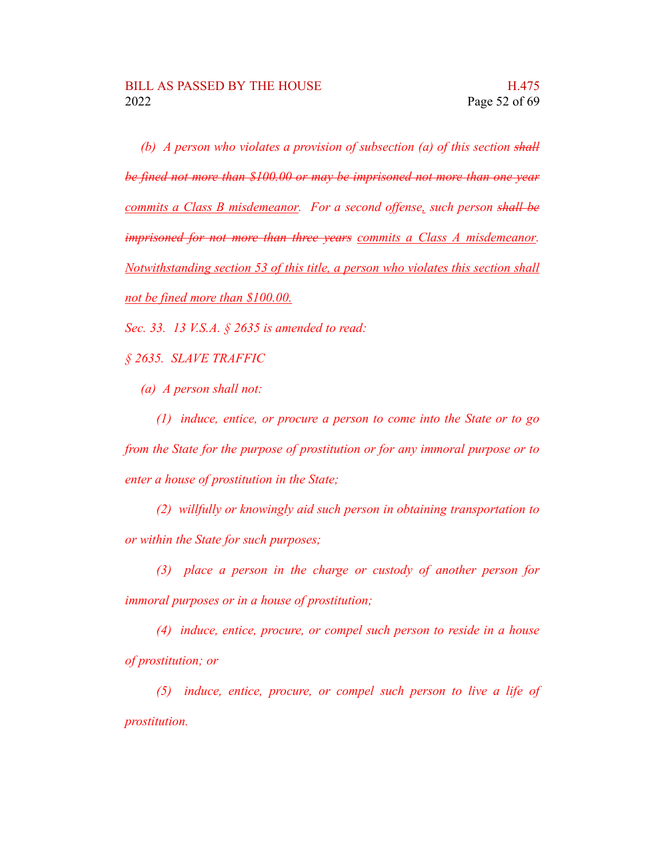*(b) A person who violates a provision of subsection (a) of this section shall be fined not more than \$100.00 or may be imprisoned not more than one year commits a Class B misdemeanor. For a second offense, such person shall be imprisoned for not more than three years commits a Class A misdemeanor. Notwithstanding section 53 of this title, a person who violates this section shall not be fined more than \$100.00.*

*Sec. 33. 13 V.S.A. § 2635 is amended to read:*

*§ 2635. SLAVE TRAFFIC*

*(a) A person shall not:*

*(1) induce, entice, or procure a person to come into the State or to go from the State for the purpose of prostitution or for any immoral purpose or to enter a house of prostitution in the State;*

*(2) willfully or knowingly aid such person in obtaining transportation to or within the State for such purposes;*

*(3) place a person in the charge or custody of another person for immoral purposes or in a house of prostitution;*

*(4) induce, entice, procure, or compel such person to reside in a house of prostitution; or*

*(5) induce, entice, procure, or compel such person to live a life of prostitution.*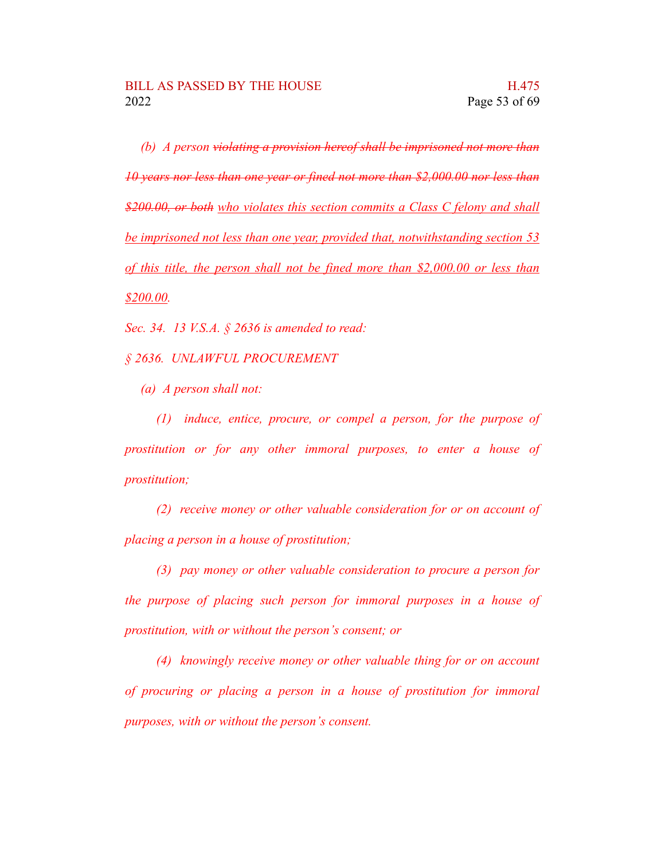*(b) A person violating a provision hereof shall be imprisoned not more than 10 years nor less than one year or fined not more than \$2,000.00 nor less than \$200.00, or both who violates this section commits a Class C felony and shall be imprisoned not less than one year, provided that, notwithstanding section 53 of this title, the person shall not be fined more than \$2,000.00 or less than \$200.00.*

*Sec. 34. 13 V.S.A. § 2636 is amended to read:*

*§ 2636. UNLAWFUL PROCUREMENT*

*(a) A person shall not:*

*(1) induce, entice, procure, or compel a person, for the purpose of prostitution or for any other immoral purposes, to enter a house of prostitution;*

*(2) receive money or other valuable consideration for or on account of placing a person in a house of prostitution;*

*(3) pay money or other valuable consideration to procure a person for the purpose of placing such person for immoral purposes in a house of prostitution, with or without the person's consent; or*

*(4) knowingly receive money or other valuable thing for or on account of procuring or placing a person in a house of prostitution for immoral purposes, with or without the person's consent.*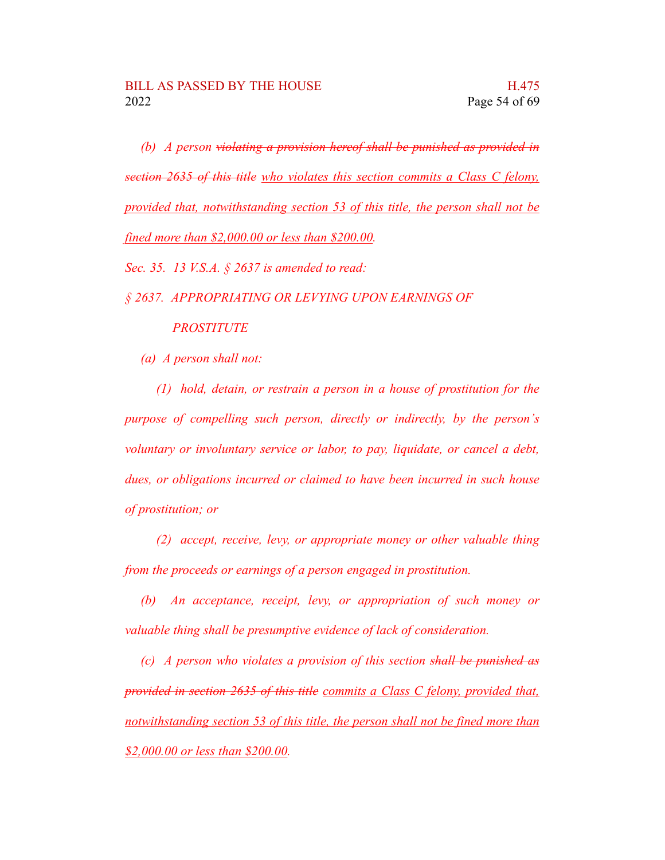*(b) A person violating a provision hereof shall be punished as provided in section 2635 of this title who violates this section commits a Class C felony, provided that, notwithstanding section 53 of this title, the person shall not be fined more than \$2,000.00 or less than \$200.00.*

*Sec. 35. 13 V.S.A. § 2637 is amended to read:*

*§ 2637. APPROPRIATING OR LEVYING UPON EARNINGS OF*

*PROSTITUTE*

*(a) A person shall not:*

*(1) hold, detain, or restrain a person in a house of prostitution for the purpose of compelling such person, directly or indirectly, by the person's voluntary or involuntary service or labor, to pay, liquidate, or cancel a debt, dues, or obligations incurred or claimed to have been incurred in such house of prostitution; or*

*(2) accept, receive, levy, or appropriate money or other valuable thing from the proceeds or earnings of a person engaged in prostitution.*

*(b) An acceptance, receipt, levy, or appropriation of such money or valuable thing shall be presumptive evidence of lack of consideration.*

*(c) A person who violates a provision of this section shall be punished as provided in section 2635 of this title commits a Class C felony, provided that, notwithstanding section 53 of this title, the person shall not be fined more than \$2,000.00 or less than \$200.00.*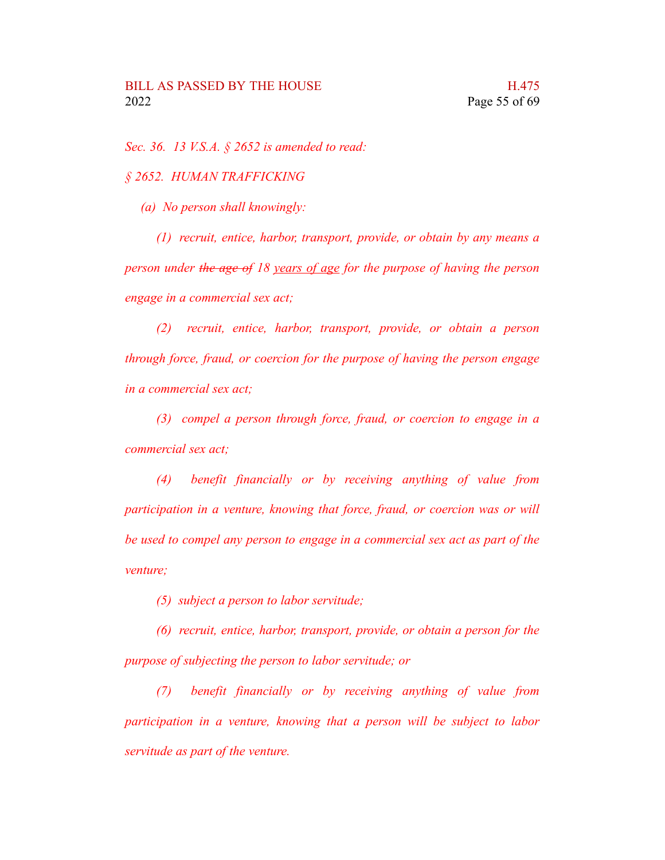*Sec. 36. 13 V.S.A. § 2652 is amended to read:*

*§ 2652. HUMAN TRAFFICKING*

*(a) No person shall knowingly:*

*(1) recruit, entice, harbor, transport, provide, or obtain by any means a person under the age of 18 years of age for the purpose of having the person engage in a commercial sex act;*

*(2) recruit, entice, harbor, transport, provide, or obtain a person through force, fraud, or coercion for the purpose of having the person engage in a commercial sex act;*

*(3) compel a person through force, fraud, or coercion to engage in a commercial sex act;*

*(4) benefit financially or by receiving anything of value from participation in a venture, knowing that force, fraud, or coercion was or will be used to compel any person to engage in a commercial sex act as part of the venture;*

*(5) subject a person to labor servitude;*

*(6) recruit, entice, harbor, transport, provide, or obtain a person for the purpose of subjecting the person to labor servitude; or*

*(7) benefit financially or by receiving anything of value from participation in a venture, knowing that a person will be subject to labor servitude as part of the venture.*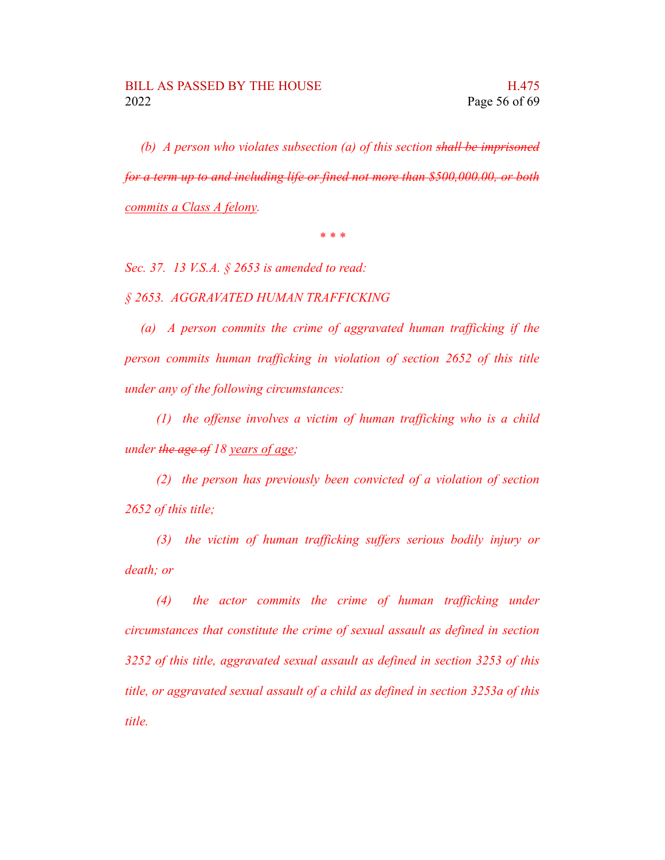*(b) A person who violates subsection (a) of this section shall be imprisoned for a term up to and including life or fined not more than \$500,000.00, or both commits a Class A felony.*

*\* \* \**

*Sec. 37. 13 V.S.A. § 2653 is amended to read:*

*§ 2653. AGGRAVATED HUMAN TRAFFICKING*

*(a) A person commits the crime of aggravated human trafficking if the person commits human trafficking in violation of section 2652 of this title under any of the following circumstances:*

*(1) the offense involves a victim of human trafficking who is a child under the age of 18 years of age;*

*(2) the person has previously been convicted of a violation of section 2652 of this title;*

*(3) the victim of human trafficking suffers serious bodily injury or death; or*

*(4) the actor commits the crime of human trafficking under circumstances that constitute the crime of sexual assault as defined in section 3252 of this title, aggravated sexual assault as defined in section 3253 of this title, or aggravated sexual assault of a child as defined in section 3253a of this title.*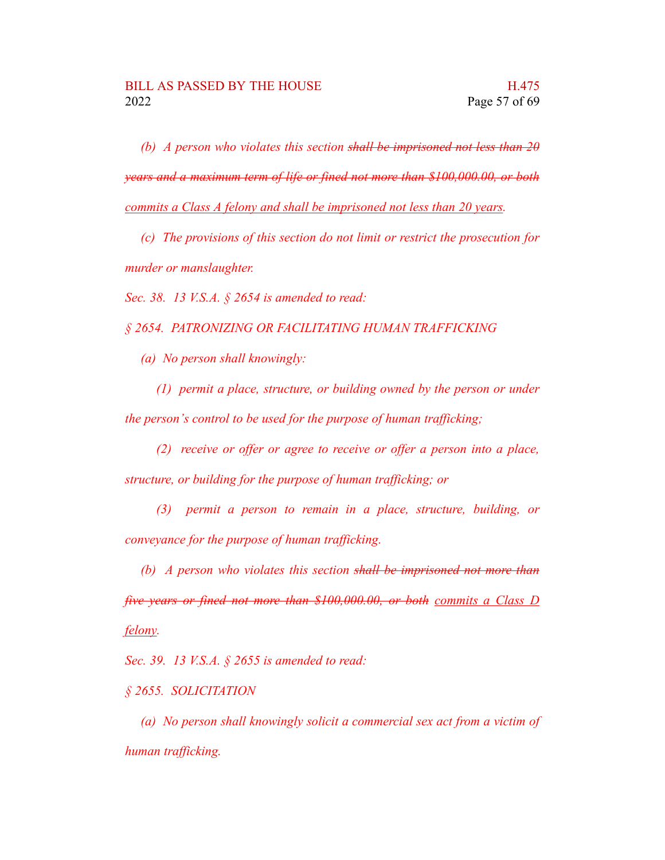*(b) A person who violates this section shall be imprisoned not less than 20 years and a maximum term of life or fined not more than \$100,000.00, or both commits a Class A felony and shall be imprisoned not less than 20 years.*

*(c) The provisions of this section do not limit or restrict the prosecution for murder or manslaughter.*

*Sec. 38. 13 V.S.A. § 2654 is amended to read:*

*§ 2654. PATRONIZING OR FACILITATING HUMAN TRAFFICKING*

*(a) No person shall knowingly:*

*(1) permit a place, structure, or building owned by the person or under the person's control to be used for the purpose of human trafficking;*

*(2) receive or offer or agree to receive or offer a person into a place, structure, or building for the purpose of human trafficking; or*

*(3) permit a person to remain in a place, structure, building, or conveyance for the purpose of human trafficking.*

*(b) A person who violates this section shall be imprisoned not more than five years or fined not more than \$100,000.00, or both commits a Class D felony.*

*Sec. 39. 13 V.S.A. § 2655 is amended to read:*

*§ 2655. SOLICITATION*

*(a) No person shall knowingly solicit a commercial sex act from a victim of human trafficking.*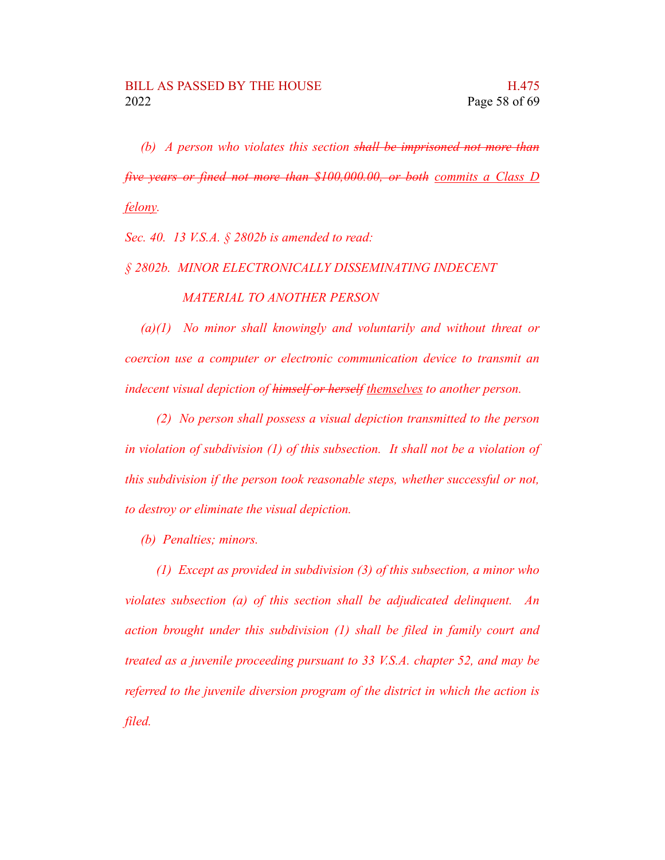*(b) A person who violates this section shall be imprisoned not more than five years or fined not more than \$100,000.00, or both commits a Class D felony.*

*Sec. 40. 13 V.S.A. § 2802b is amended to read:*

*§ 2802b. MINOR ELECTRONICALLY DISSEMINATING INDECENT MATERIAL TO ANOTHER PERSON*

*(a)(1) No minor shall knowingly and voluntarily and without threat or coercion use a computer or electronic communication device to transmit an indecent visual depiction of himself or herself themselves to another person.*

*(2) No person shall possess a visual depiction transmitted to the person in violation of subdivision (1) of this subsection. It shall not be a violation of this subdivision if the person took reasonable steps, whether successful or not, to destroy or eliminate the visual depiction.*

*(b) Penalties; minors.*

*(1) Except as provided in subdivision (3) of this subsection, a minor who violates subsection (a) of this section shall be adjudicated delinquent. An action brought under this subdivision (1) shall be filed in family court and treated as a juvenile proceeding pursuant to 33 V.S.A. chapter 52, and may be referred to the juvenile diversion program of the district in which the action is filed.*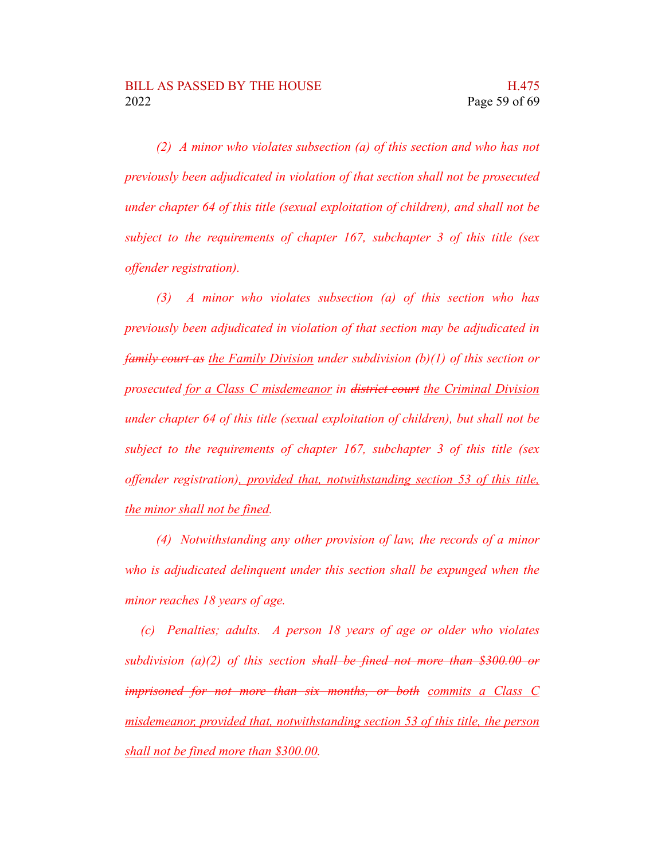*(2) A minor who violates subsection (a) of this section and who has not previously been adjudicated in violation of that section shall not be prosecuted under chapter 64 of this title (sexual exploitation of children), and shall not be subject to the requirements of chapter 167, subchapter 3 of this title (sex offender registration).*

*(3) A minor who violates subsection (a) of this section who has previously been adjudicated in violation of that section may be adjudicated in family court as the Family Division under subdivision (b)(1) of this section or prosecuted for a Class C misdemeanor in district court the Criminal Division under chapter 64 of this title (sexual exploitation of children), but shall not be subject to the requirements of chapter 167, subchapter 3 of this title (sex offender registration), provided that, notwithstanding section 53 of this title, the minor shall not be fined.*

*(4) Notwithstanding any other provision of law, the records of a minor who is adjudicated delinquent under this section shall be expunged when the minor reaches 18 years of age.*

*(c) Penalties; adults. A person 18 years of age or older who violates subdivision (a)(2) of this section shall be fined not more than \$300.00 or imprisoned for not more than six months, or both commits a Class C misdemeanor, provided that, notwithstanding section 53 of this title, the person shall not be fined more than \$300.00.*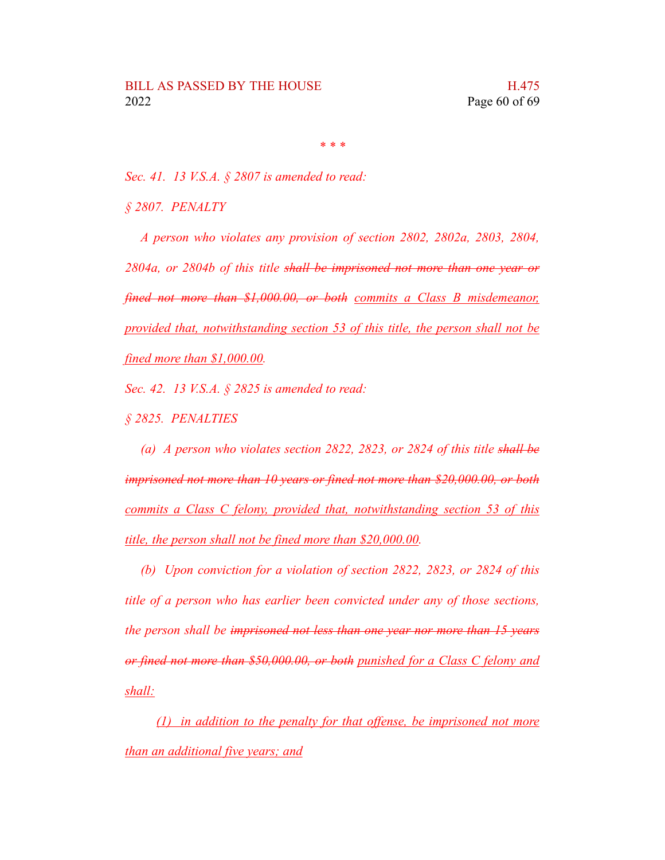*\* \* \**

*Sec. 41. 13 V.S.A. § 2807 is amended to read:*

*§ 2807. PENALTY*

*A person who violates any provision of section 2802, 2802a, 2803, 2804, 2804a, or 2804b of this title shall be imprisoned not more than one year or fined not more than \$1,000.00, or both commits a Class B misdemeanor, provided that, notwithstanding section 53 of this title, the person shall not be fined more than \$1,000.00.*

*Sec. 42. 13 V.S.A. § 2825 is amended to read:*

*§ 2825. PENALTIES*

*(a) A person who violates section 2822, 2823, or 2824 of this title shall be imprisoned not more than 10 years or fined not more than \$20,000.00, or both commits a Class C felony, provided that, notwithstanding section 53 of this title, the person shall not be fined more than \$20,000.00.*

*(b) Upon conviction for a violation of section 2822, 2823, or 2824 of this title of a person who has earlier been convicted under any of those sections, the person shall be imprisoned not less than one year nor more than 15 years or fined not more than \$50,000.00, or both punished for a Class C felony and shall:*

*(1) in addition to the penalty for that offense, be imprisoned not more than an additional five years; and*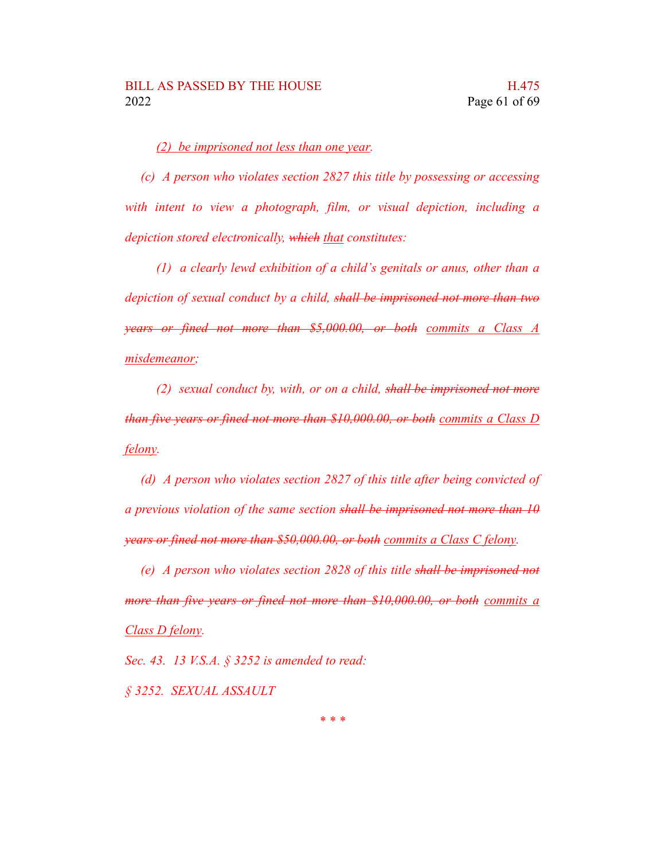*(2) be imprisoned not less than one year.*

*(c) A person who violates section 2827 this title by possessing or accessing with intent to view a photograph, film, or visual depiction, including a depiction stored electronically, which that constitutes:*

*(1) a clearly lewd exhibition of a child's genitals or anus, other than a depiction of sexual conduct by a child, shall be imprisoned not more than two years or fined not more than \$5,000.00, or both commits a Class A misdemeanor;*

*(2) sexual conduct by, with, or on a child, shall be imprisoned not more than five years or fined not more than \$10,000.00, or both commits a Class D felony.*

*(d) A person who violates section 2827 of this title after being convicted of a previous violation of the same section shall be imprisoned not more than 10 years or fined not more than \$50,000.00, or both commits a Class C felony.*

*(e) A person who violates section 2828 of this title shall be imprisoned not more than five years or fined not more than \$10,000.00, or both commits a Class D felony.*

*Sec. 43. 13 V.S.A. § 3252 is amended to read: § 3252. SEXUAL ASSAULT*

*\* \* \**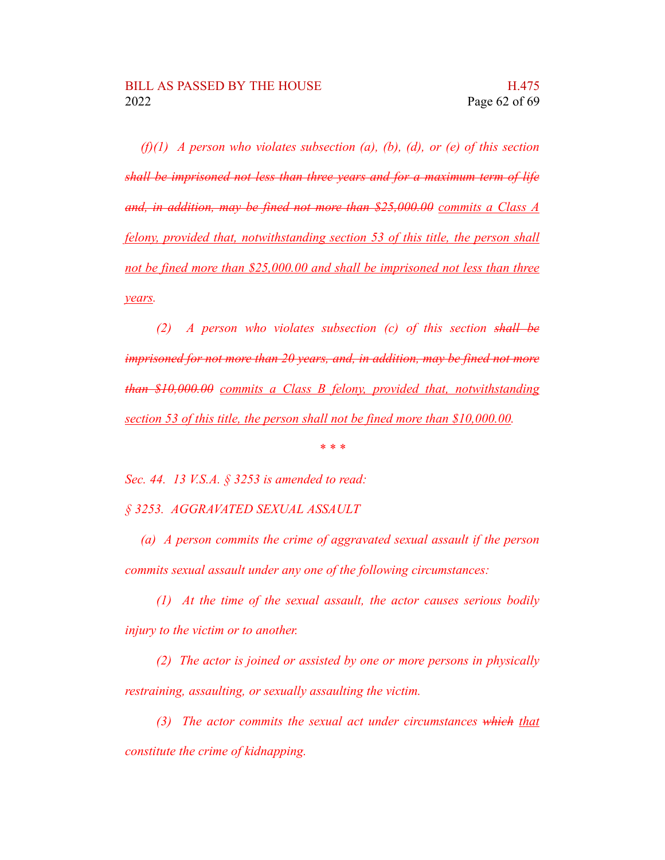*(f)(1) A person who violates subsection (a), (b), (d), or (e) of this section shall be imprisoned not less than three years and for a maximum term of life and, in addition, may be fined not more than \$25,000.00 commits a Class A felony, provided that, notwithstanding section 53 of this title, the person shall not be fined more than \$25,000.00 and shall be imprisoned not less than three years.*

*(2) A person who violates subsection (c) of this section shall be imprisoned for not more than 20 years, and, in addition, may be fined not more than \$10,000.00 commits a Class B felony, provided that, notwithstanding section 53 of this title, the person shall not be fined more than \$10,000.00.*

*\* \* \**

*Sec. 44. 13 V.S.A. § 3253 is amended to read:*

*§ 3253. AGGRAVATED SEXUAL ASSAULT*

*(a) A person commits the crime of aggravated sexual assault if the person commits sexual assault under any one of the following circumstances:*

*(1) At the time of the sexual assault, the actor causes serious bodily injury to the victim or to another.*

*(2) The actor is joined or assisted by one or more persons in physically restraining, assaulting, or sexually assaulting the victim.*

*(3) The actor commits the sexual act under circumstances which that constitute the crime of kidnapping.*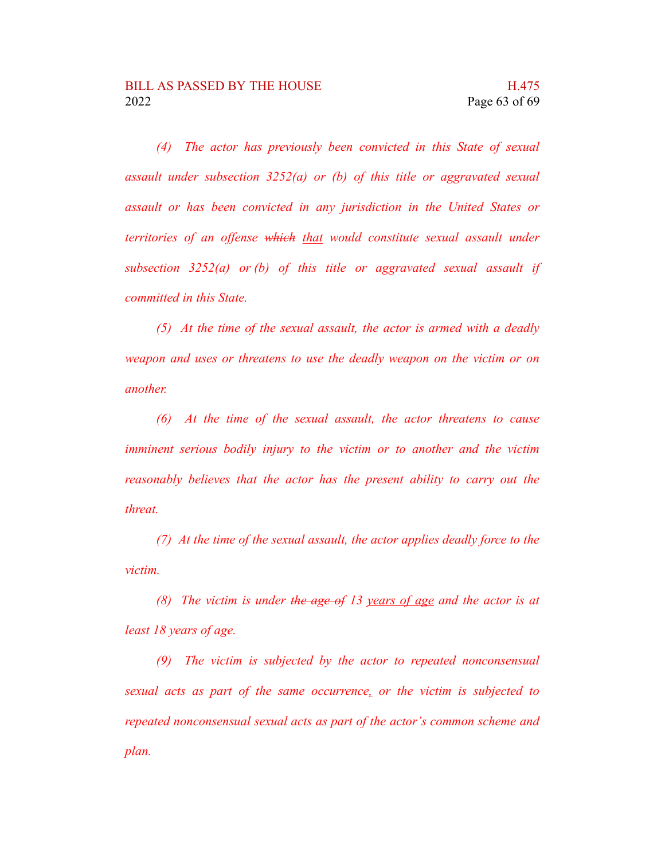*(4) The actor has previously been convicted in this State of sexual assault under subsection 3252(a) or (b) of this title or aggravated sexual assault or has been convicted in any jurisdiction in the United States or territories of an offense which that would constitute sexual assault under subsection 3252(a) or (b) of this title or aggravated sexual assault if committed in this State.*

*(5) At the time of the sexual assault, the actor is armed with a deadly weapon and uses or threatens to use the deadly weapon on the victim or on another.*

*(6) At the time of the sexual assault, the actor threatens to cause imminent serious bodily injury to the victim or to another and the victim reasonably believes that the actor has the present ability to carry out the threat.*

*(7) At the time of the sexual assault, the actor applies deadly force to the victim.*

*(8) The victim is under the age of 13 years of age and the actor is at least 18 years of age.*

*(9) The victim is subjected by the actor to repeated nonconsensual sexual acts as part of the same occurrence, or the victim is subjected to repeated nonconsensual sexual acts as part of the actor's common scheme and plan.*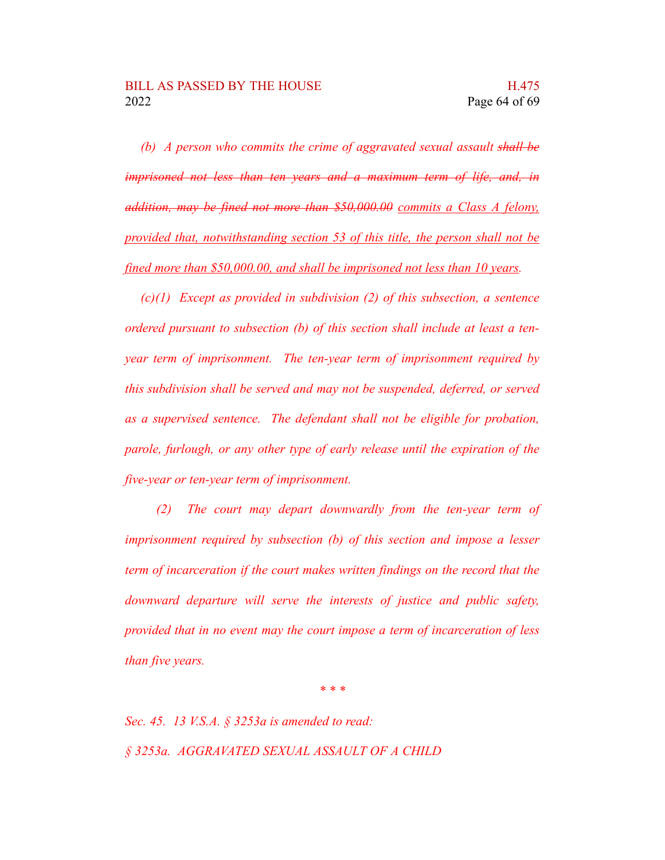*(b) A person who commits the crime of aggravated sexual assault shall be imprisoned not less than ten years and a maximum term of life, and, in addition, may be fined not more than \$50,000.00 commits a Class A felony, provided that, notwithstanding section 53 of this title, the person shall not be fined more than \$50,000.00, and shall be imprisoned not less than 10 years.*

*(c)(1) Except as provided in subdivision (2) of this subsection, a sentence ordered pursuant to subsection (b) of this section shall include at least a tenyear term of imprisonment. The ten-year term of imprisonment required by this subdivision shall be served and may not be suspended, deferred, or served as a supervised sentence. The defendant shall not be eligible for probation, parole, furlough, or any other type of early release until the expiration of the five-year or ten-year term of imprisonment.*

*(2) The court may depart downwardly from the ten-year term of imprisonment required by subsection (b) of this section and impose a lesser term of incarceration if the court makes written findings on the record that the downward departure will serve the interests of justice and public safety, provided that in no event may the court impose a term of incarceration of less than five years.*

*\* \* \**

*Sec. 45. 13 V.S.A. § 3253a is amended to read: § 3253a. AGGRAVATED SEXUAL ASSAULT OF A CHILD*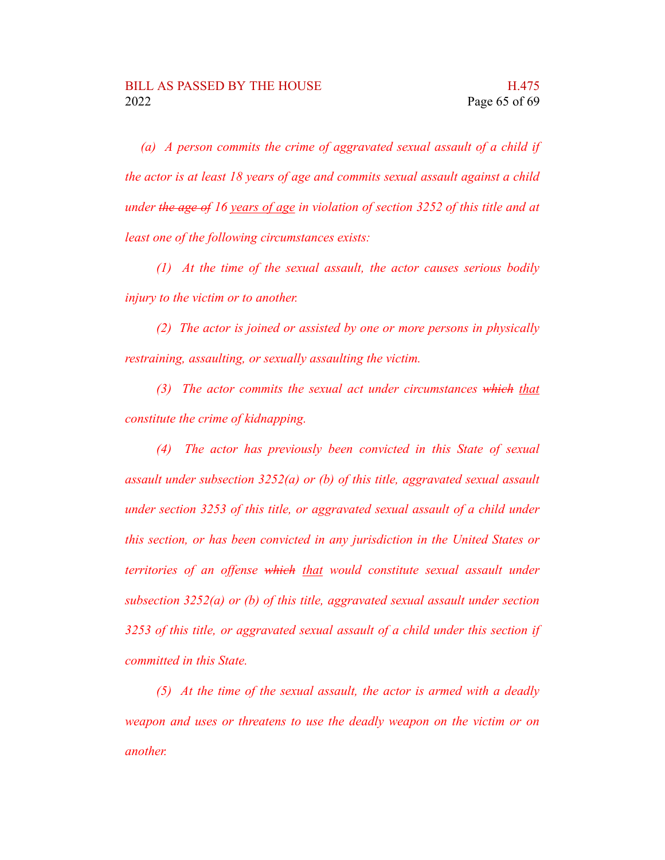*(a) A person commits the crime of aggravated sexual assault of a child if the actor is at least 18 years of age and commits sexual assault against a child under the age of 16 years of age in violation of section 3252 of this title and at least one of the following circumstances exists:*

*(1) At the time of the sexual assault, the actor causes serious bodily injury to the victim or to another.*

*(2) The actor is joined or assisted by one or more persons in physically restraining, assaulting, or sexually assaulting the victim.*

*(3) The actor commits the sexual act under circumstances which that constitute the crime of kidnapping.*

*(4) The actor has previously been convicted in this State of sexual assault under subsection 3252(a) or (b) of this title, aggravated sexual assault under section 3253 of this title, or aggravated sexual assault of a child under this section, or has been convicted in any jurisdiction in the United States or territories of an offense which that would constitute sexual assault under subsection 3252(a) or (b) of this title, aggravated sexual assault under section 3253 of this title, or aggravated sexual assault of a child under this section if committed in this State.*

*(5) At the time of the sexual assault, the actor is armed with a deadly weapon and uses or threatens to use the deadly weapon on the victim or on another.*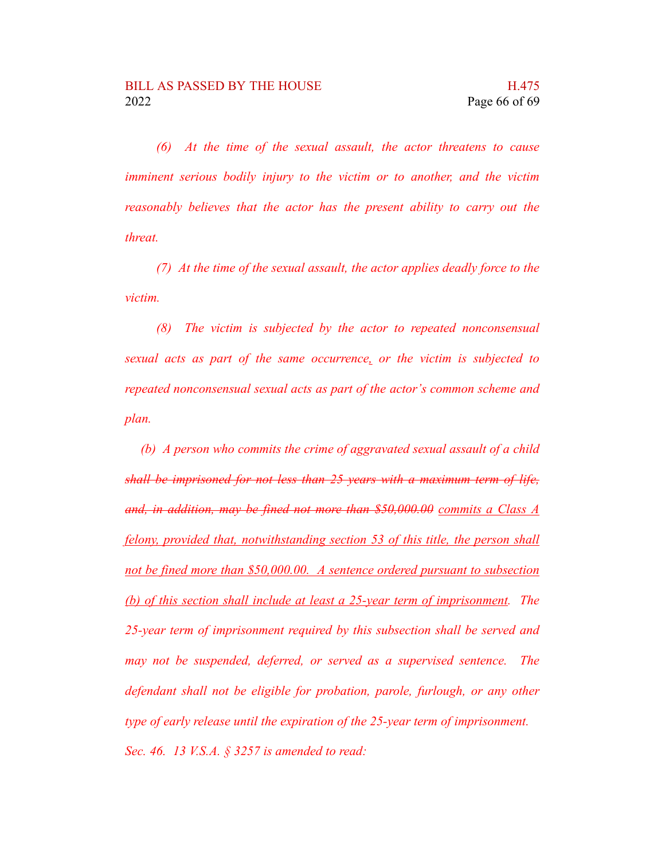*(6) At the time of the sexual assault, the actor threatens to cause imminent serious bodily injury to the victim or to another, and the victim reasonably believes that the actor has the present ability to carry out the threat.*

*(7) At the time of the sexual assault, the actor applies deadly force to the victim.*

*(8) The victim is subjected by the actor to repeated nonconsensual sexual acts as part of the same occurrence, or the victim is subjected to repeated nonconsensual sexual acts as part of the actor's common scheme and plan.*

*(b) A person who commits the crime of aggravated sexual assault of a child shall be imprisoned for not less than 25 years with a maximum term of life, and, in addition, may be fined not more than \$50,000.00 commits a Class A felony, provided that, notwithstanding section 53 of this title, the person shall not be fined more than \$50,000.00. A sentence ordered pursuant to subsection (b) of this section shall include at least a 25-year term of imprisonment. The 25-year term of imprisonment required by this subsection shall be served and may not be suspended, deferred, or served as a supervised sentence. The defendant shall not be eligible for probation, parole, furlough, or any other type of early release until the expiration of the 25-year term of imprisonment. Sec. 46. 13 V.S.A. § 3257 is amended to read:*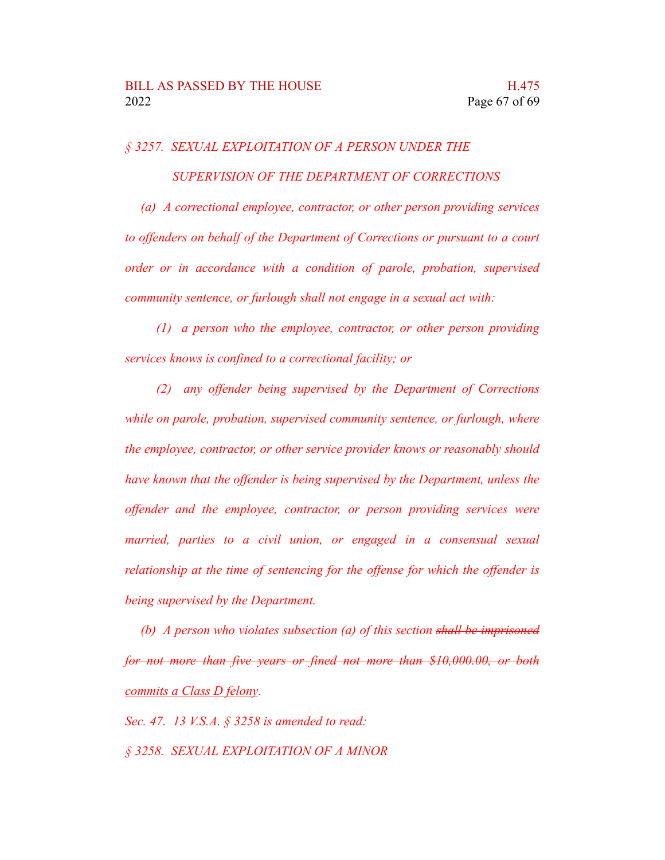# *§ 3257. SEXUAL EXPLOITATION OF A PERSON UNDER THE SUPERVISION OF THE DEPARTMENT OF CORRECTIONS*

*(a) A correctional employee, contractor, or other person providing services to offenders on behalf of the Department of Corrections or pursuant to a court order or in accordance with a condition of parole, probation, supervised community sentence, or furlough shall not engage in a sexual act with:*

*(1) a person who the employee, contractor, or other person providing services knows is confined to a correctional facility; or*

*(2) any offender being supervised by the Department of Corrections while on parole, probation, supervised community sentence, or furlough, where the employee, contractor, or other service provider knows or reasonably should have known that the offender is being supervised by the Department, unless the offender and the employee, contractor, or person providing services were married, parties to a civil union, or engaged in a consensual sexual relationship at the time of sentencing for the offense for which the offender is being supervised by the Department.*

*(b) A person who violates subsection (a) of this section shall be imprisoned for not more than five years or fined not more than \$10,000.00, or both commits a Class D felony.*

*Sec. 47. 13 V.S.A. § 3258 is amended to read:*

*§ 3258. SEXUAL EXPLOITATION OF A MINOR*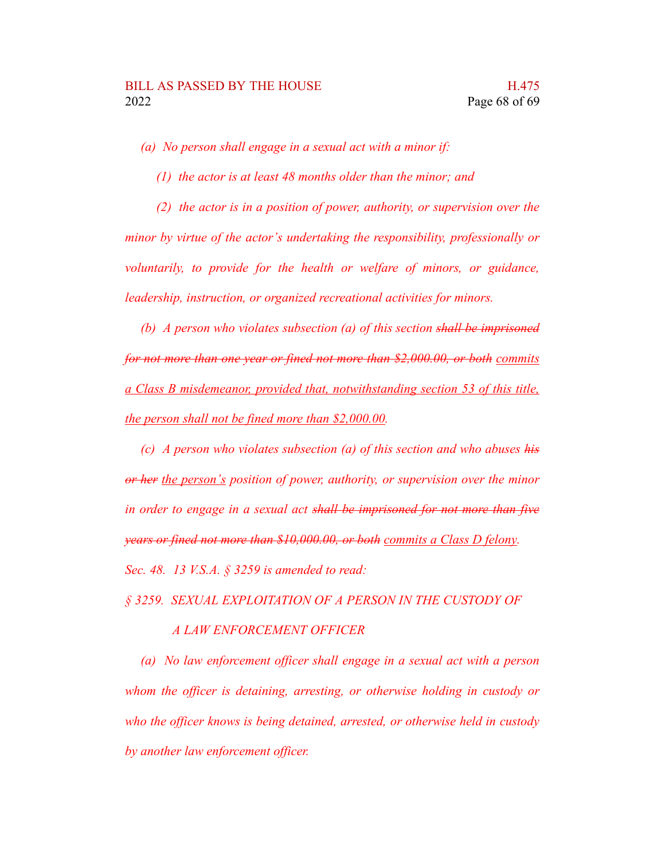*(a) No person shall engage in a sexual act with a minor if:*

*(1) the actor is at least 48 months older than the minor; and*

*(2) the actor is in a position of power, authority, or supervision over the minor by virtue of the actor's undertaking the responsibility, professionally or voluntarily, to provide for the health or welfare of minors, or guidance, leadership, instruction, or organized recreational activities for minors.*

*(b) A person who violates subsection (a) of this section shall be imprisoned for not more than one year or fined not more than \$2,000.00, or both commits a Class B misdemeanor, provided that, notwithstanding section 53 of this title, the person shall not be fined more than \$2,000.00.*

*(c) A person who violates subsection (a) of this section and who abuses his or her the person's position of power, authority, or supervision over the minor in order to engage in a sexual act shall be imprisoned for not more than five years or fined not more than \$10,000.00, or both commits a Class D felony.*

*Sec. 48. 13 V.S.A. § 3259 is amended to read:*

*§ 3259. SEXUAL EXPLOITATION OF A PERSON IN THE CUSTODY OF*

### *A LAW ENFORCEMENT OFFICER*

*(a) No law enforcement officer shall engage in a sexual act with a person whom the officer is detaining, arresting, or otherwise holding in custody or who the officer knows is being detained, arrested, or otherwise held in custody by another law enforcement officer.*